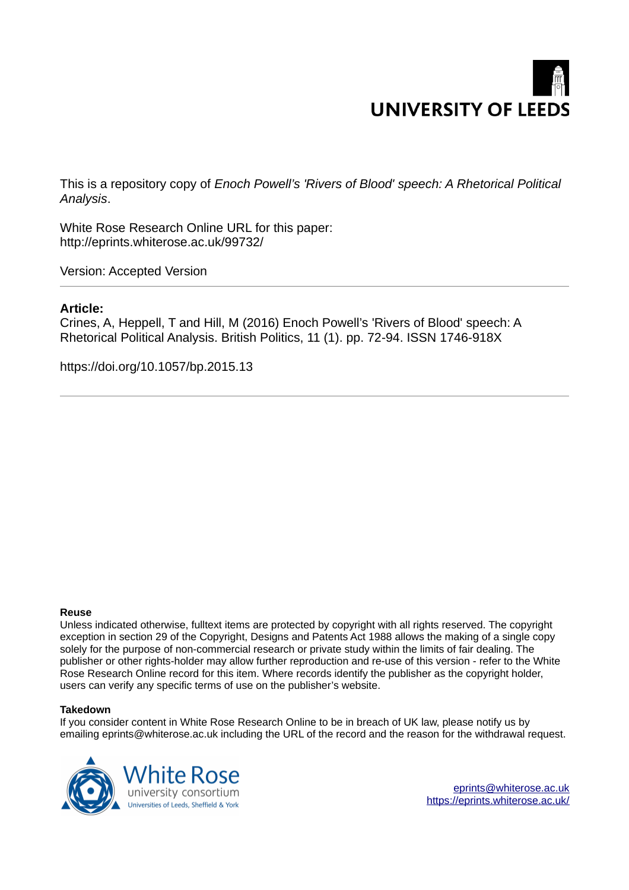# **UNIVERSITY OF LEEDS**

This is a repository copy of *Enoch Powell's 'Rivers of Blood' speech: A Rhetorical Political Analysis*.

White Rose Research Online URL for this paper: http://eprints.whiterose.ac.uk/99732/

Version: Accepted Version

### **Article:**

Crines, A, Heppell, T and Hill, M (2016) Enoch Powell's 'Rivers of Blood' speech: A Rhetorical Political Analysis. British Politics, 11 (1). pp. 72-94. ISSN 1746-918X

https://doi.org/10.1057/bp.2015.13

#### **Reuse**

Unless indicated otherwise, fulltext items are protected by copyright with all rights reserved. The copyright exception in section 29 of the Copyright, Designs and Patents Act 1988 allows the making of a single copy solely for the purpose of non-commercial research or private study within the limits of fair dealing. The publisher or other rights-holder may allow further reproduction and re-use of this version - refer to the White Rose Research Online record for this item. Where records identify the publisher as the copyright holder, users can verify any specific terms of use on the publisher's website.

#### **Takedown**

If you consider content in White Rose Research Online to be in breach of UK law, please notify us by emailing eprints@whiterose.ac.uk including the URL of the record and the reason for the withdrawal request.

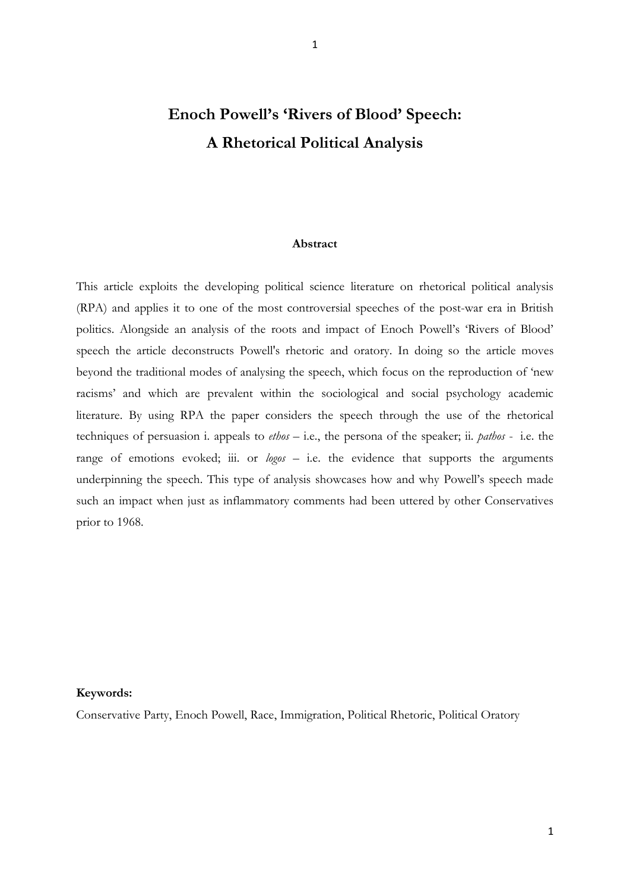## **Enoch Powell's 'Rivers of Blood' Speech: A Rhetorical Political Analysis**

1

#### **Abstract**

This article exploits the developing political science literature on rhetorical political analysis (RPA) and applies it to one of the most controversial speeches of the post-war era in British politics. Alongside an analysis of the roots and impact of Enoch Powell's 'Rivers of Blood' speech the article deconstructs Powell's rhetoric and oratory. In doing so the article moves beyond the traditional modes of analysing the speech, which focus on the reproduction of 'new racisms' and which are prevalent within the sociological and social psychology academic literature. By using RPA the paper considers the speech through the use of the rhetorical techniques of persuasion i. appeals to *ethos* – i.e., the persona of the speaker; ii. *pathos* - i.e. the range of emotions evoked; iii. or *logos* – i.e. the evidence that supports the arguments underpinning the speech. This type of analysis showcases how and why Powell's speech made such an impact when just as inflammatory comments had been uttered by other Conservatives prior to 1968.

#### **Keywords:**

Conservative Party, Enoch Powell, Race, Immigration, Political Rhetoric, Political Oratory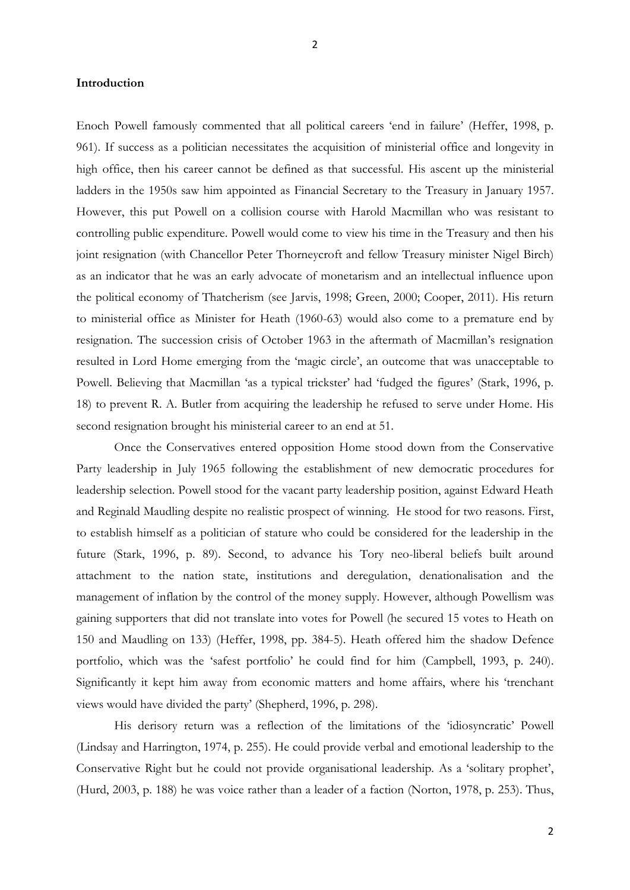#### **Introduction**

Enoch Powell famously commented that all political careers 'end in failure' (Heffer, 1998, p. 961). If success as a politician necessitates the acquisition of ministerial office and longevity in high office, then his career cannot be defined as that successful. His ascent up the ministerial ladders in the 1950s saw him appointed as Financial Secretary to the Treasury in January 1957. However, this put Powell on a collision course with Harold Macmillan who was resistant to controlling public expenditure. Powell would come to view his time in the Treasury and then his joint resignation (with Chancellor Peter Thorneycroft and fellow Treasury minister Nigel Birch) as an indicator that he was an early advocate of monetarism and an intellectual influence upon the political economy of Thatcherism (see Jarvis, 1998; Green, 2000; Cooper, 2011). His return to ministerial office as Minister for Heath (1960-63) would also come to a premature end by resignation. The succession crisis of October 1963 in the aftermath of Macmillan's resignation resulted in Lord Home emerging from the 'magic circle', an outcome that was unacceptable to Powell. Believing that Macmillan 'as a typical trickster' had 'fudged the figures' (Stark, 1996, p. 18) to prevent R. A. Butler from acquiring the leadership he refused to serve under Home. His second resignation brought his ministerial career to an end at 51.

 Once the Conservatives entered opposition Home stood down from the Conservative Party leadership in July 1965 following the establishment of new democratic procedures for leadership selection. Powell stood for the vacant party leadership position, against Edward Heath and Reginald Maudling despite no realistic prospect of winning. He stood for two reasons. First, to establish himself as a politician of stature who could be considered for the leadership in the future (Stark, 1996, p. 89). Second, to advance his Tory neo-liberal beliefs built around attachment to the nation state, institutions and deregulation, denationalisation and the management of inflation by the control of the money supply. However, although Powellism was gaining supporters that did not translate into votes for Powell (he secured 15 votes to Heath on 150 and Maudling on 133) (Heffer, 1998, pp. 384-5). Heath offered him the shadow Defence portfolio, which was the 'safest portfolio' he could find for him (Campbell, 1993, p. 240). Significantly it kept him away from economic matters and home affairs, where his 'trenchant views would have divided the party' (Shepherd, 1996, p. 298).

 His derisory return was a reflection of the limitations of the 'idiosyncratic' Powell (Lindsay and Harrington, 1974, p. 255). He could provide verbal and emotional leadership to the Conservative Right but he could not provide organisational leadership. As a 'solitary prophet', (Hurd, 2003, p. 188) he was voice rather than a leader of a faction (Norton, 1978, p. 253). Thus,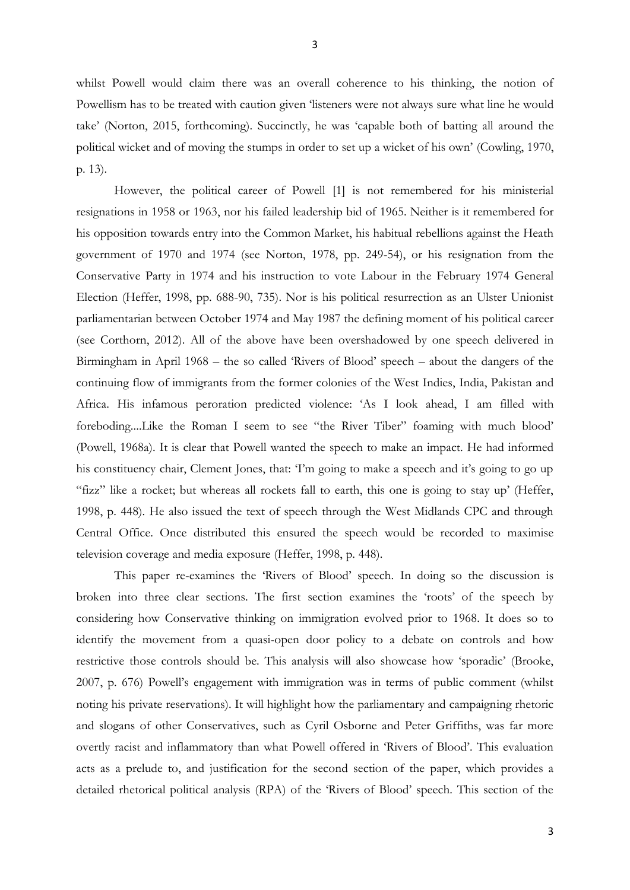whilst Powell would claim there was an overall coherence to his thinking, the notion of Powellism has to be treated with caution given 'listeners were not always sure what line he would take' (Norton, 2015, forthcoming). Succinctly, he was 'capable both of batting all around the political wicket and of moving the stumps in order to set up a wicket of his own' (Cowling, 1970, p. 13).

 However, the political career of Powell [1] is not remembered for his ministerial resignations in 1958 or 1963, nor his failed leadership bid of 1965. Neither is it remembered for his opposition towards entry into the Common Market, his habitual rebellions against the Heath government of 1970 and 1974 (see Norton, 1978, pp. 249-54), or his resignation from the Conservative Party in 1974 and his instruction to vote Labour in the February 1974 General Election (Heffer, 1998, pp. 688-90, 735). Nor is his political resurrection as an Ulster Unionist parliamentarian between October 1974 and May 1987 the defining moment of his political career (see Corthorn, 2012). All of the above have been overshadowed by one speech delivered in Birmingham in April 1968 – the so called 'Rivers of Blood' speech – about the dangers of the continuing flow of immigrants from the former colonies of the West Indies, India, Pakistan and Africa. His infamous peroration predicted violence: 'As I look ahead, I am filled with foreboding....Like the Roman I seem to see "the River Tiber" foaming with much blood' (Powell, 1968a). It is clear that Powell wanted the speech to make an impact. He had informed his constituency chair, Clement Jones, that: 'I'm going to make a speech and it's going to go up "fizz" like a rocket; but whereas all rockets fall to earth, this one is going to stay up' (Heffer, 1998, p. 448). He also issued the text of speech through the West Midlands CPC and through Central Office. Once distributed this ensured the speech would be recorded to maximise television coverage and media exposure (Heffer, 1998, p. 448).

This paper re-examines the 'Rivers of Blood' speech. In doing so the discussion is broken into three clear sections. The first section examines the 'roots' of the speech by considering how Conservative thinking on immigration evolved prior to 1968. It does so to identify the movement from a quasi-open door policy to a debate on controls and how restrictive those controls should be. This analysis will also showcase how 'sporadic' (Brooke, 2007, p. 676) Powell's engagement with immigration was in terms of public comment (whilst noting his private reservations). It will highlight how the parliamentary and campaigning rhetoric and slogans of other Conservatives, such as Cyril Osborne and Peter Griffiths, was far more overtly racist and inflammatory than what Powell offered in 'Rivers of Blood'. This evaluation acts as a prelude to, and justification for the second section of the paper, which provides a detailed rhetorical political analysis (RPA) of the 'Rivers of Blood' speech. This section of the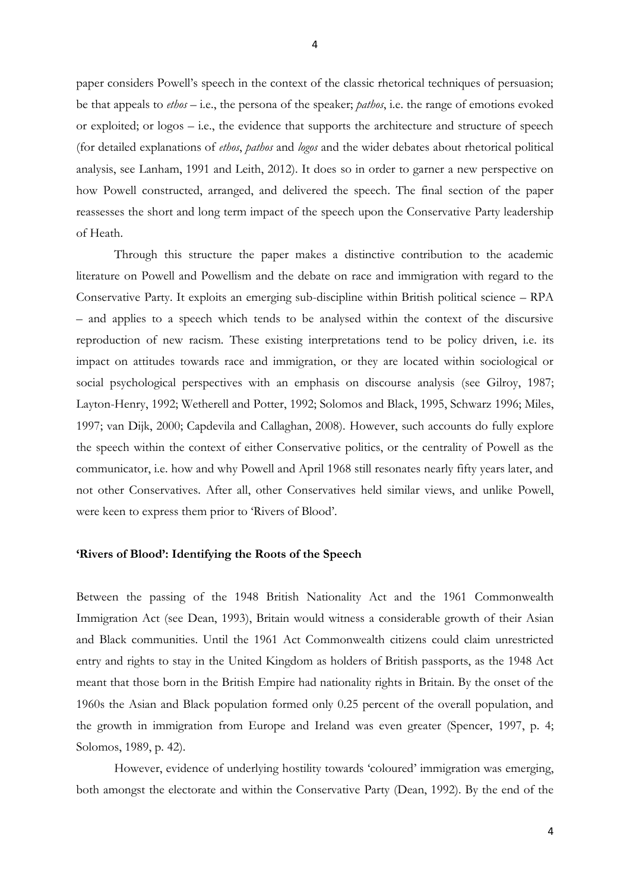paper considers Powell's speech in the context of the classic rhetorical techniques of persuasion; be that appeals to *ethos* – i.e., the persona of the speaker; *pathos*, i.e. the range of emotions evoked or exploited; or logos – i.e., the evidence that supports the architecture and structure of speech (for detailed explanations of *ethos*, *pathos* and *logos* and the wider debates about rhetorical political analysis, see Lanham, 1991 and Leith, 2012). It does so in order to garner a new perspective on how Powell constructed, arranged, and delivered the speech. The final section of the paper reassesses the short and long term impact of the speech upon the Conservative Party leadership of Heath.

Through this structure the paper makes a distinctive contribution to the academic literature on Powell and Powellism and the debate on race and immigration with regard to the Conservative Party. It exploits an emerging sub-discipline within British political science – RPA – and applies to a speech which tends to be analysed within the context of the discursive reproduction of new racism. These existing interpretations tend to be policy driven, i.e. its impact on attitudes towards race and immigration, or they are located within sociological or social psychological perspectives with an emphasis on discourse analysis (see Gilroy, 1987; Layton-Henry, 1992; Wetherell and Potter, 1992; Solomos and Black, 1995, Schwarz 1996; Miles, 1997; van Dijk, 2000; Capdevila and Callaghan, 2008). However, such accounts do fully explore the speech within the context of either Conservative politics, or the centrality of Powell as the communicator, i.e. how and why Powell and April 1968 still resonates nearly fifty years later, and not other Conservatives. After all, other Conservatives held similar views, and unlike Powell, were keen to express them prior to 'Rivers of Blood'.

#### **'Rivers of Blood': Identifying the Roots of the Speech**

Between the passing of the 1948 British Nationality Act and the 1961 Commonwealth Immigration Act (see Dean, 1993), Britain would witness a considerable growth of their Asian and Black communities. Until the 1961 Act Commonwealth citizens could claim unrestricted entry and rights to stay in the United Kingdom as holders of British passports, as the 1948 Act meant that those born in the British Empire had nationality rights in Britain. By the onset of the 1960s the Asian and Black population formed only 0.25 percent of the overall population, and the growth in immigration from Europe and Ireland was even greater (Spencer, 1997, p. 4; Solomos, 1989, p. 42).

However, evidence of underlying hostility towards 'coloured' immigration was emerging, both amongst the electorate and within the Conservative Party (Dean, 1992). By the end of the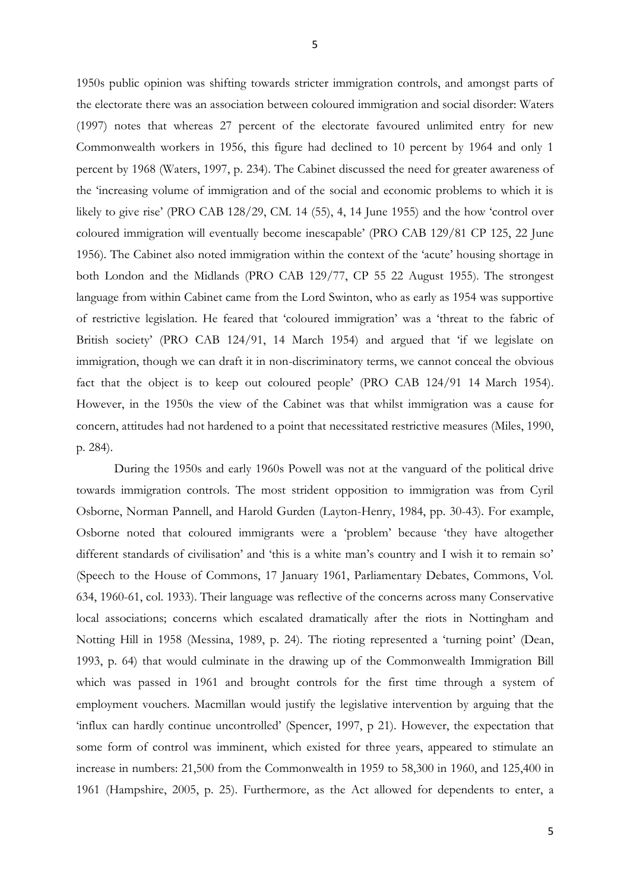1950s public opinion was shifting towards stricter immigration controls, and amongst parts of the electorate there was an association between coloured immigration and social disorder: Waters (1997) notes that whereas 27 percent of the electorate favoured unlimited entry for new Commonwealth workers in 1956, this figure had declined to 10 percent by 1964 and only 1 percent by 1968 (Waters, 1997, p. 234). The Cabinet discussed the need for greater awareness of the 'increasing volume of immigration and of the social and economic problems to which it is likely to give rise' (PRO CAB 128/29, CM. 14 (55), 4, 14 June 1955) and the how 'control over coloured immigration will eventually become inescapable' (PRO CAB 129/81 CP 125, 22 June 1956). The Cabinet also noted immigration within the context of the 'acute' housing shortage in both London and the Midlands (PRO CAB 129/77, CP 55 22 August 1955). The strongest language from within Cabinet came from the Lord Swinton, who as early as 1954 was supportive of restrictive legislation. He feared that 'coloured immigration' was a 'threat to the fabric of British society' (PRO CAB 124/91, 14 March 1954) and argued that 'if we legislate on immigration, though we can draft it in non-discriminatory terms, we cannot conceal the obvious fact that the object is to keep out coloured people' (PRO CAB 124/91 14 March 1954). However, in the 1950s the view of the Cabinet was that whilst immigration was a cause for concern, attitudes had not hardened to a point that necessitated restrictive measures (Miles, 1990, p. 284).

 During the 1950s and early 1960s Powell was not at the vanguard of the political drive towards immigration controls. The most strident opposition to immigration was from Cyril Osborne, Norman Pannell, and Harold Gurden (Layton-Henry, 1984, pp. 30-43). For example, Osborne noted that coloured immigrants were a 'problem' because 'they have altogether different standards of civilisation' and 'this is a white man's country and I wish it to remain so' (Speech to the House of Commons, 17 January 1961, Parliamentary Debates, Commons, Vol. 634, 1960-61, col. 1933). Their language was reflective of the concerns across many Conservative local associations; concerns which escalated dramatically after the riots in Nottingham and Notting Hill in 1958 (Messina, 1989, p. 24). The rioting represented a 'turning point' (Dean, 1993, p. 64) that would culminate in the drawing up of the Commonwealth Immigration Bill which was passed in 1961 and brought controls for the first time through a system of employment vouchers. Macmillan would justify the legislative intervention by arguing that the 'influx can hardly continue uncontrolled' (Spencer, 1997, p 21). However, the expectation that some form of control was imminent, which existed for three years, appeared to stimulate an increase in numbers: 21,500 from the Commonwealth in 1959 to 58,300 in 1960, and 125,400 in 1961 (Hampshire, 2005, p. 25). Furthermore, as the Act allowed for dependents to enter, a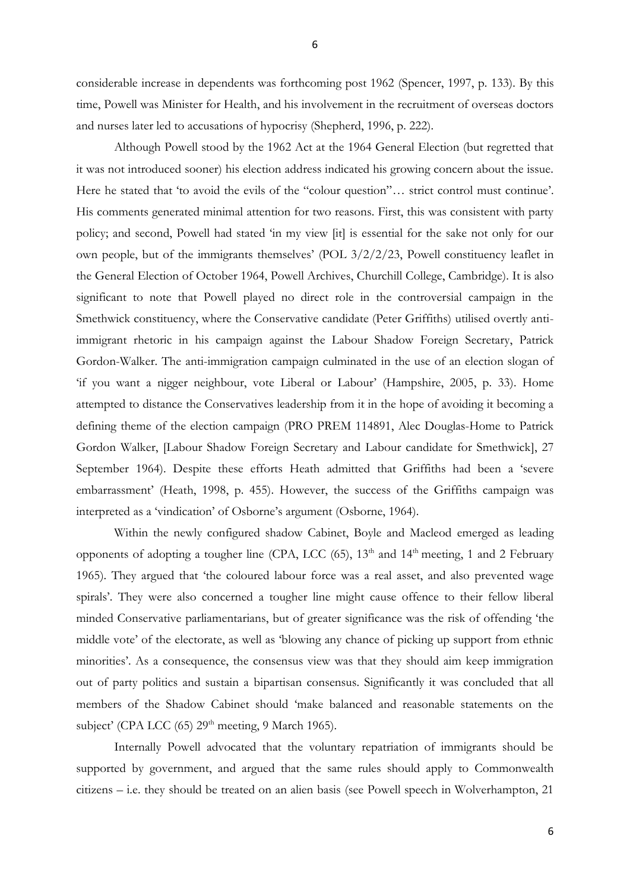considerable increase in dependents was forthcoming post 1962 (Spencer, 1997, p. 133). By this time, Powell was Minister for Health, and his involvement in the recruitment of overseas doctors and nurses later led to accusations of hypocrisy (Shepherd, 1996, p. 222).

Although Powell stood by the 1962 Act at the 1964 General Election (but regretted that it was not introduced sooner) his election address indicated his growing concern about the issue. Here he stated that 'to avoid the evils of the "colour question"… strict control must continue'. His comments generated minimal attention for two reasons. First, this was consistent with party policy; and second, Powell had stated 'in my view [it] is essential for the sake not only for our own people, but of the immigrants themselves' (POL 3/2/2/23, Powell constituency leaflet in the General Election of October 1964, Powell Archives, Churchill College, Cambridge). It is also significant to note that Powell played no direct role in the controversial campaign in the Smethwick constituency, where the Conservative candidate (Peter Griffiths) utilised overtly antiimmigrant rhetoric in his campaign against the Labour Shadow Foreign Secretary, Patrick Gordon-Walker. The anti-immigration campaign culminated in the use of an election slogan of 'if you want a nigger neighbour, vote Liberal or Labour' (Hampshire, 2005, p. 33). Home attempted to distance the Conservatives leadership from it in the hope of avoiding it becoming a defining theme of the election campaign (PRO PREM 114891, Alec Douglas-Home to Patrick Gordon Walker, [Labour Shadow Foreign Secretary and Labour candidate for Smethwick], 27 September 1964). Despite these efforts Heath admitted that Griffiths had been a 'severe embarrassment' (Heath, 1998, p. 455). However, the success of the Griffiths campaign was interpreted as a 'vindication' of Osborne's argument (Osborne, 1964).

 Within the newly configured shadow Cabinet, Boyle and Macleod emerged as leading opponents of adopting a tougher line (CPA, LCC  $(65)$ ,  $13<sup>th</sup>$  and  $14<sup>th</sup>$  meeting, 1 and 2 February 1965). They argued that 'the coloured labour force was a real asset, and also prevented wage spirals'. They were also concerned a tougher line might cause offence to their fellow liberal minded Conservative parliamentarians, but of greater significance was the risk of offending 'the middle vote' of the electorate, as well as 'blowing any chance of picking up support from ethnic minorities'. As a consequence, the consensus view was that they should aim keep immigration out of party politics and sustain a bipartisan consensus. Significantly it was concluded that all members of the Shadow Cabinet should 'make balanced and reasonable statements on the subject' (CPA LCC  $(65)$  29<sup>th</sup> meeting, 9 March 1965).

Internally Powell advocated that the voluntary repatriation of immigrants should be supported by government, and argued that the same rules should apply to Commonwealth citizens – i.e. they should be treated on an alien basis (see Powell speech in Wolverhampton, 21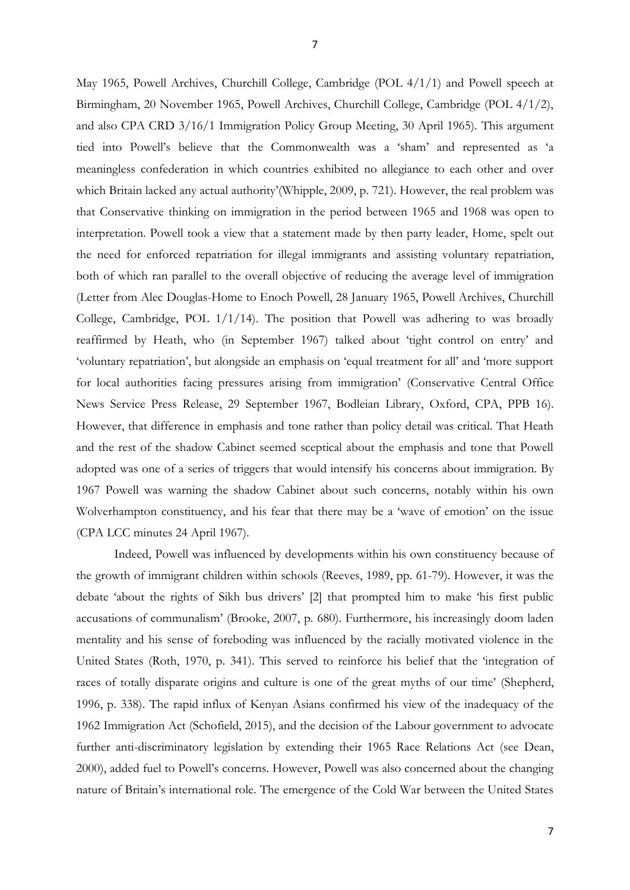May 1965, Powell Archives, Churchill College, Cambridge (POL 4/1/1) and Powell speech at Birmingham, 20 November 1965, Powell Archives, Churchill College, Cambridge (POL 4/1/2), and also CPA CRD 3/16/1 Immigration Policy Group Meeting, 30 April 1965). This argument tied into Powell's believe that the Commonwealth was a 'sham' and represented as 'a meaningless confederation in which countries exhibited no allegiance to each other and over which Britain lacked any actual authority'(Whipple, 2009, p. 721). However, the real problem was that Conservative thinking on immigration in the period between 1965 and 1968 was open to interpretation. Powell took a view that a statement made by then party leader, Home, spelt out the need for enforced repatriation for illegal immigrants and assisting voluntary repatriation, both of which ran parallel to the overall objective of reducing the average level of immigration (Letter from Alec Douglas-Home to Enoch Powell, 28 January 1965, Powell Archives, Churchill College, Cambridge, POL 1/1/14). The position that Powell was adhering to was broadly reaffirmed by Heath, who (in September 1967) talked about 'tight control on entry' and 'voluntary repatriation', but alongside an emphasis on 'equal treatment for all' and 'more support for local authorities facing pressures arising from immigration' (Conservative Central Office News Service Press Release, 29 September 1967, Bodleian Library, Oxford, CPA, PPB 16). However, that difference in emphasis and tone rather than policy detail was critical. That Heath and the rest of the shadow Cabinet seemed sceptical about the emphasis and tone that Powell adopted was one of a series of triggers that would intensify his concerns about immigration. By 1967 Powell was warning the shadow Cabinet about such concerns, notably within his own Wolverhampton constituency, and his fear that there may be a 'wave of emotion' on the issue (CPA LCC minutes 24 April 1967).

Indeed, Powell was influenced by developments within his own constituency because of the growth of immigrant children within schools (Reeves, 1989, pp. 61-79). However, it was the debate 'about the rights of Sikh bus drivers' [2] that prompted him to make 'his first public accusations of communalism' (Brooke, 2007, p. 680). Furthermore, his increasingly doom laden mentality and his sense of foreboding was influenced by the racially motivated violence in the United States (Roth, 1970, p. 341). This served to reinforce his belief that the 'integration of races of totally disparate origins and culture is one of the great myths of our time' (Shepherd, 1996, p. 338). The rapid influx of Kenyan Asians confirmed his view of the inadequacy of the 1962 Immigration Act (Schofield, 2015), and the decision of the Labour government to advocate further anti-discriminatory legislation by extending their 1965 Race Relations Act (see Dean, 2000), added fuel to Powell's concerns. However, Powell was also concerned about the changing nature of Britain's international role. The emergence of the Cold War between the United States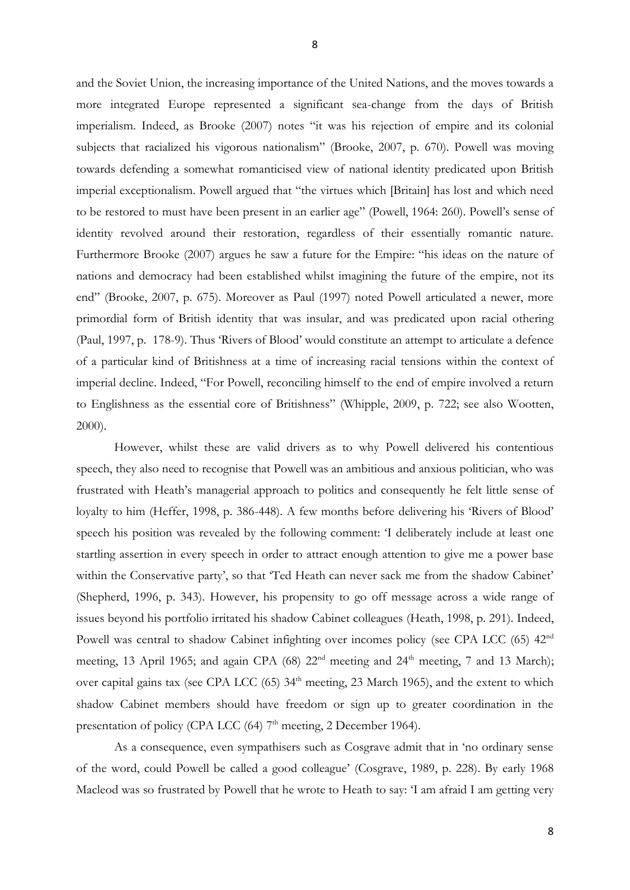and the Soviet Union, the increasing importance of the United Nations, and the moves towards a more integrated Europe represented a significant sea-change from the days of British imperialism. Indeed, as Brooke (2007) notes "it was his rejection of empire and its colonial subjects that racialized his vigorous nationalism" (Brooke, 2007, p. 670). Powell was moving towards defending a somewhat romanticised view of national identity predicated upon British imperial exceptionalism. Powell argued that "the virtues which [Britain] has lost and which need to be restored to must have been present in an earlier age" (Powell, 1964: 260). Powell's sense of identity revolved around their restoration, regardless of their essentially romantic nature. Furthermore Brooke (2007) argues he saw a future for the Empire: "his ideas on the nature of nations and democracy had been established whilst imagining the future of the empire, not its end" (Brooke, 2007, p. 675). Moreover as Paul (1997) noted Powell articulated a newer, more primordial form of British identity that was insular, and was predicated upon racial othering (Paul, 1997, p. 178-9). Thus 'Rivers of Blood' would constitute an attempt to articulate a defence of a particular kind of Britishness at a time of increasing racial tensions within the context of imperial decline. Indeed, "For Powell, reconciling himself to the end of empire involved a return to Englishness as the essential core of Britishness" (Whipple, 2009, p. 722; see also Wootten, 2000).

However, whilst these are valid drivers as to why Powell delivered his contentious speech, they also need to recognise that Powell was an ambitious and anxious politician, who was frustrated with Heath's managerial approach to politics and consequently he felt little sense of loyalty to him (Heffer, 1998, p. 386-448). A few months before delivering his 'Rivers of Blood' speech his position was revealed by the following comment: 'I deliberately include at least one startling assertion in every speech in order to attract enough attention to give me a power base within the Conservative party', so that 'Ted Heath can never sack me from the shadow Cabinet' (Shepherd, 1996, p. 343). However, his propensity to go off message across a wide range of issues beyond his portfolio irritated his shadow Cabinet colleagues (Heath, 1998, p. 291). Indeed, Powell was central to shadow Cabinet infighting over incomes policy (see CPA LCC (65) 42<sup>nd</sup> meeting, 13 April 1965; and again CPA (68) 22<sup>nd</sup> meeting and 24<sup>th</sup> meeting, 7 and 13 March); over capital gains tax (see CPA LCC  $(65)$  34<sup>th</sup> meeting, 23 March 1965), and the extent to which shadow Cabinet members should have freedom or sign up to greater coordination in the presentation of policy (CPA LCC  $(64)$  7<sup>th</sup> meeting, 2 December 1964).

As a consequence, even sympathisers such as Cosgrave admit that in 'no ordinary sense of the word, could Powell be called a good colleague' (Cosgrave, 1989, p. 228). By early 1968 Macleod was so frustrated by Powell that he wrote to Heath to say: 'I am afraid I am getting very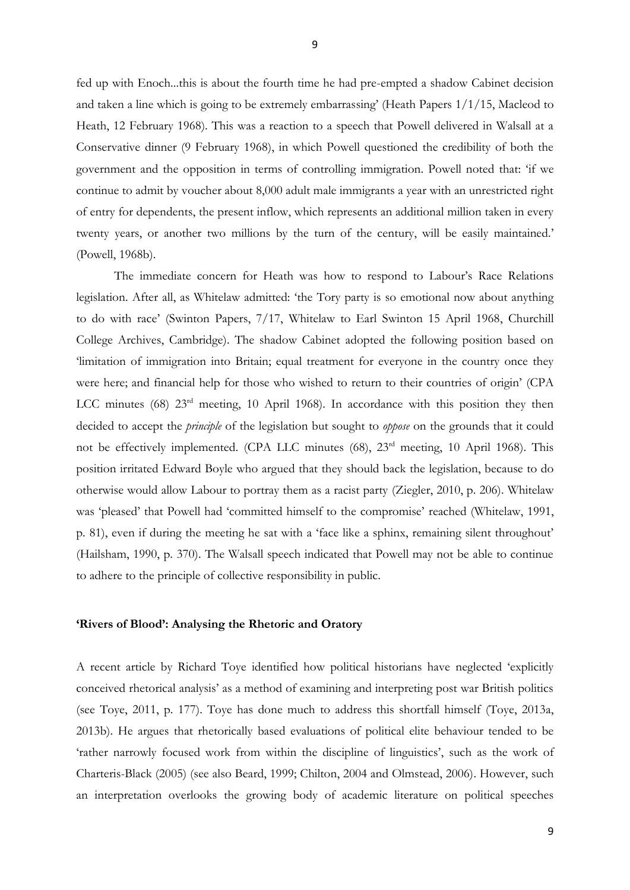fed up with Enoch...this is about the fourth time he had pre-empted a shadow Cabinet decision and taken a line which is going to be extremely embarrassing' (Heath Papers 1/1/15, Macleod to Heath, 12 February 1968). This was a reaction to a speech that Powell delivered in Walsall at a Conservative dinner (9 February 1968), in which Powell questioned the credibility of both the government and the opposition in terms of controlling immigration. Powell noted that: 'if we continue to admit by voucher about 8,000 adult male immigrants a year with an unrestricted right of entry for dependents, the present inflow, which represents an additional million taken in every twenty years, or another two millions by the turn of the century, will be easily maintained.' (Powell, 1968b).

The immediate concern for Heath was how to respond to Labour's Race Relations legislation. After all, as Whitelaw admitted: 'the Tory party is so emotional now about anything to do with race' (Swinton Papers, 7/17, Whitelaw to Earl Swinton 15 April 1968, Churchill College Archives, Cambridge). The shadow Cabinet adopted the following position based on 'limitation of immigration into Britain; equal treatment for everyone in the country once they were here; and financial help for those who wished to return to their countries of origin' (CPA LCC minutes (68)  $23<sup>rd</sup>$  meeting, 10 April 1968). In accordance with this position they then decided to accept the *principle* of the legislation but sought to *oppose* on the grounds that it could not be effectively implemented. (CPA LLC minutes (68), 23<sup>rd</sup> meeting, 10 April 1968). This position irritated Edward Boyle who argued that they should back the legislation, because to do otherwise would allow Labour to portray them as a racist party (Ziegler, 2010, p. 206). Whitelaw was 'pleased' that Powell had 'committed himself to the compromise' reached (Whitelaw, 1991, p. 81), even if during the meeting he sat with a 'face like a sphinx, remaining silent throughout' (Hailsham, 1990, p. 370). The Walsall speech indicated that Powell may not be able to continue to adhere to the principle of collective responsibility in public.

#### **'Rivers of Blood': Analysing the Rhetoric and Oratory**

A recent article by Richard Toye identified how political historians have neglected 'explicitly conceived rhetorical analysis' as a method of examining and interpreting post war British politics (see Toye, 2011, p. 177). Toye has done much to address this shortfall himself (Toye, 2013a, 2013b). He argues that rhetorically based evaluations of political elite behaviour tended to be 'rather narrowly focused work from within the discipline of linguistics', such as the work of Charteris-Black (2005) (see also Beard, 1999; Chilton, 2004 and Olmstead, 2006). However, such an interpretation overlooks the growing body of academic literature on political speeches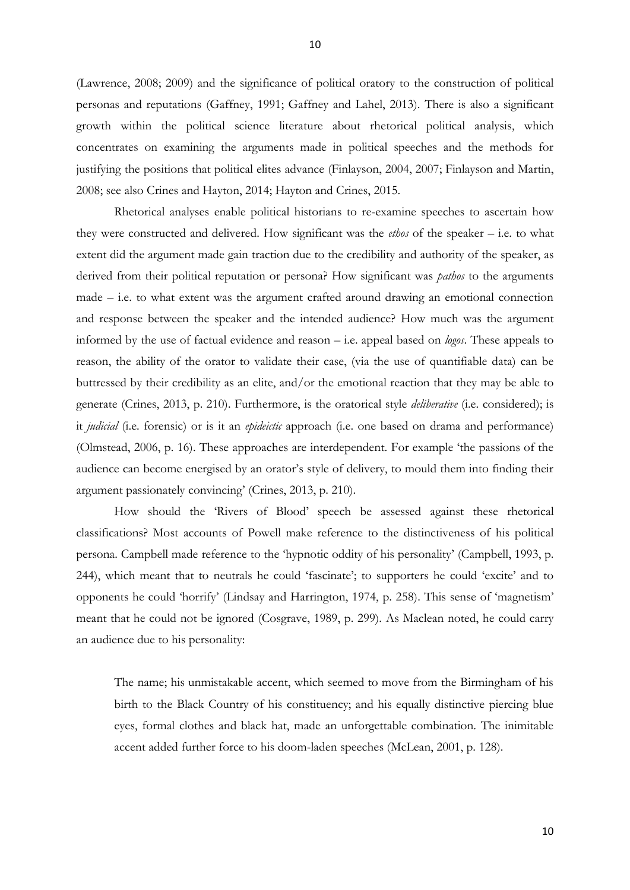(Lawrence, 2008; 2009) and the significance of political oratory to the construction of political personas and reputations (Gaffney, 1991; Gaffney and Lahel, 2013). There is also a significant growth within the political science literature about rhetorical political analysis, which concentrates on examining the arguments made in political speeches and the methods for justifying the positions that political elites advance (Finlayson, 2004, 2007; Finlayson and Martin, 2008; see also Crines and Hayton, 2014; Hayton and Crines, 2015.

Rhetorical analyses enable political historians to re-examine speeches to ascertain how they were constructed and delivered. How significant was the *ethos* of the speaker – i.e. to what extent did the argument made gain traction due to the credibility and authority of the speaker, as derived from their political reputation or persona? How significant was *pathos* to the arguments made – i.e. to what extent was the argument crafted around drawing an emotional connection and response between the speaker and the intended audience? How much was the argument informed by the use of factual evidence and reason – i.e. appeal based on *logos*. These appeals to reason, the ability of the orator to validate their case, (via the use of quantifiable data) can be buttressed by their credibility as an elite, and/or the emotional reaction that they may be able to generate (Crines, 2013, p. 210). Furthermore, is the oratorical style *deliberative* (i.e. considered); is it *judicial* (i.e. forensic) or is it an *epideictic* approach (i.e. one based on drama and performance) (Olmstead, 2006, p. 16). These approaches are interdependent. For example 'the passions of the audience can become energised by an orator's style of delivery, to mould them into finding their argument passionately convincing' (Crines, 2013, p. 210).

How should the 'Rivers of Blood' speech be assessed against these rhetorical classifications? Most accounts of Powell make reference to the distinctiveness of his political persona. Campbell made reference to the 'hypnotic oddity of his personality' (Campbell, 1993, p. 244), which meant that to neutrals he could 'fascinate'; to supporters he could 'excite' and to opponents he could 'horrify' (Lindsay and Harrington, 1974, p. 258). This sense of 'magnetism' meant that he could not be ignored (Cosgrave, 1989, p. 299). As Maclean noted, he could carry an audience due to his personality:

The name; his unmistakable accent, which seemed to move from the Birmingham of his birth to the Black Country of his constituency; and his equally distinctive piercing blue eyes, formal clothes and black hat, made an unforgettable combination. The inimitable accent added further force to his doom-laden speeches (McLean, 2001, p. 128).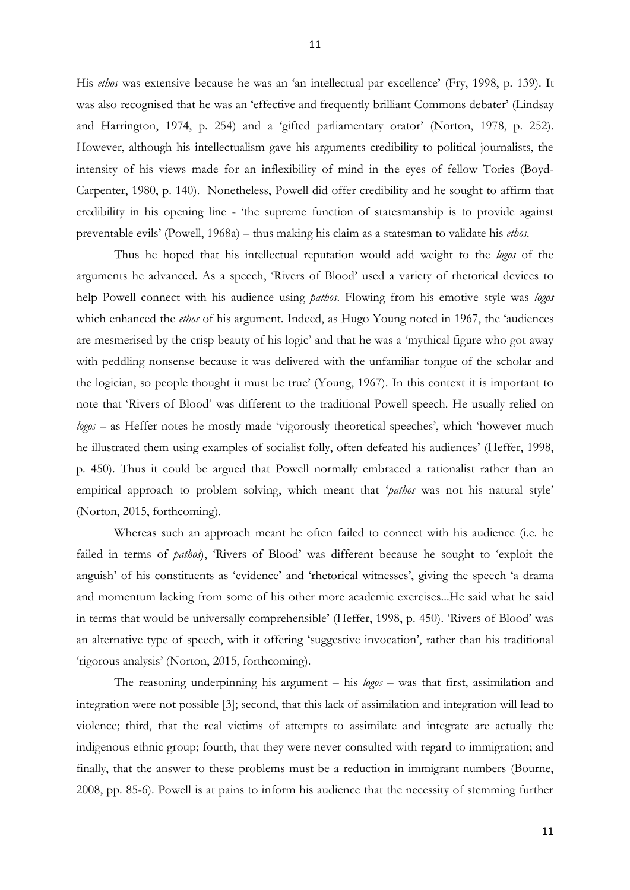His *ethos* was extensive because he was an 'an intellectual par excellence' (Fry, 1998, p. 139). It was also recognised that he was an 'effective and frequently brilliant Commons debater' (Lindsay and Harrington, 1974, p. 254) and a 'gifted parliamentary orator' (Norton, 1978, p. 252). However, although his intellectualism gave his arguments credibility to political journalists, the intensity of his views made for an inflexibility of mind in the eyes of fellow Tories (Boyd-Carpenter, 1980, p. 140). Nonetheless, Powell did offer credibility and he sought to affirm that credibility in his opening line - 'the supreme function of statesmanship is to provide against preventable evils' (Powell, 1968a) – thus making his claim as a statesman to validate his *ethos.*

Thus he hoped that his intellectual reputation would add weight to the *logos* of the arguments he advanced. As a speech, 'Rivers of Blood' used a variety of rhetorical devices to help Powell connect with his audience using *pathos*. Flowing from his emotive style was *logos*  which enhanced the *ethos* of his argument. Indeed, as Hugo Young noted in 1967, the 'audiences are mesmerised by the crisp beauty of his logic' and that he was a 'mythical figure who got away with peddling nonsense because it was delivered with the unfamiliar tongue of the scholar and the logician, so people thought it must be true' (Young, 1967). In this context it is important to note that 'Rivers of Blood' was different to the traditional Powell speech. He usually relied on *logos* – as Heffer notes he mostly made 'vigorously theoretical speeches', which 'however much he illustrated them using examples of socialist folly, often defeated his audiences' (Heffer, 1998, p. 450). Thus it could be argued that Powell normally embraced a rationalist rather than an empirical approach to problem solving, which meant that '*pathos* was not his natural style' (Norton, 2015, forthcoming).

Whereas such an approach meant he often failed to connect with his audience (i.e. he failed in terms of *pathos*), 'Rivers of Blood' was different because he sought to 'exploit the anguish' of his constituents as 'evidence' and 'rhetorical witnesses', giving the speech 'a drama and momentum lacking from some of his other more academic exercises...He said what he said in terms that would be universally comprehensible' (Heffer, 1998, p. 450). 'Rivers of Blood' was an alternative type of speech, with it offering 'suggestive invocation', rather than his traditional 'rigorous analysis' (Norton, 2015, forthcoming).

The reasoning underpinning his argument – his *logos* – was that first, assimilation and integration were not possible [3]; second, that this lack of assimilation and integration will lead to violence; third, that the real victims of attempts to assimilate and integrate are actually the indigenous ethnic group; fourth, that they were never consulted with regard to immigration; and finally, that the answer to these problems must be a reduction in immigrant numbers (Bourne, 2008, pp. 85-6). Powell is at pains to inform his audience that the necessity of stemming further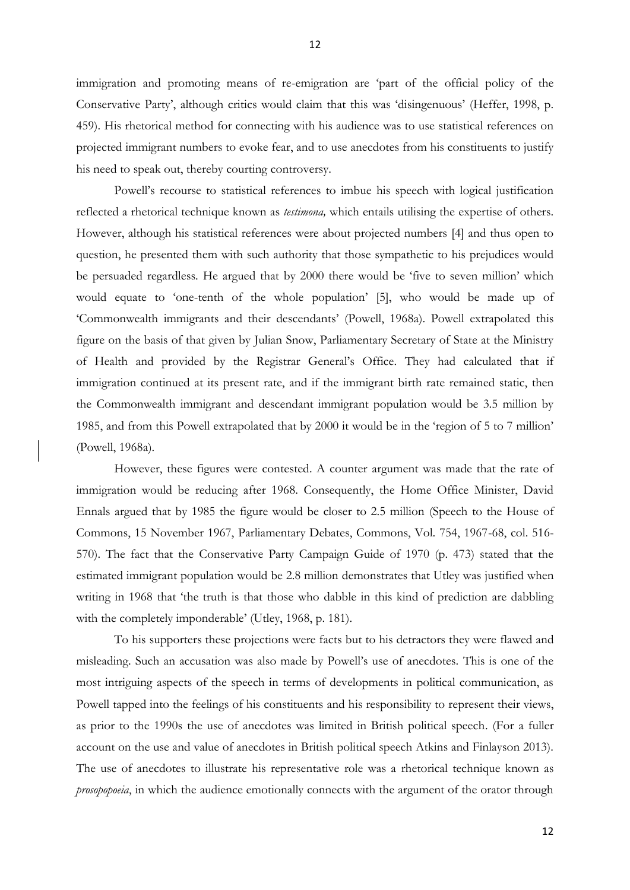immigration and promoting means of re-emigration are 'part of the official policy of the Conservative Party', although critics would claim that this was 'disingenuous' (Heffer, 1998, p. 459). His rhetorical method for connecting with his audience was to use statistical references on projected immigrant numbers to evoke fear, and to use anecdotes from his constituents to justify his need to speak out, thereby courting controversy.

 Powell's recourse to statistical references to imbue his speech with logical justification reflected a rhetorical technique known as *testimona,* which entails utilising the expertise of others. However, although his statistical references were about projected numbers [4] and thus open to question, he presented them with such authority that those sympathetic to his prejudices would be persuaded regardless. He argued that by 2000 there would be 'five to seven million' which would equate to 'one-tenth of the whole population' [5], who would be made up of 'Commonwealth immigrants and their descendants' (Powell, 1968a). Powell extrapolated this figure on the basis of that given by Julian Snow, Parliamentary Secretary of State at the Ministry of Health and provided by the Registrar General's Office. They had calculated that if immigration continued at its present rate, and if the immigrant birth rate remained static, then the Commonwealth immigrant and descendant immigrant population would be 3.5 million by 1985, and from this Powell extrapolated that by 2000 it would be in the 'region of 5 to 7 million' (Powell, 1968a).

However, these figures were contested. A counter argument was made that the rate of immigration would be reducing after 1968. Consequently, the Home Office Minister, David Ennals argued that by 1985 the figure would be closer to 2.5 million (Speech to the House of Commons, 15 November 1967, Parliamentary Debates, Commons, Vol. 754, 1967-68, col. 516- 570). The fact that the Conservative Party Campaign Guide of 1970 (p. 473) stated that the estimated immigrant population would be 2.8 million demonstrates that Utley was justified when writing in 1968 that 'the truth is that those who dabble in this kind of prediction are dabbling with the completely imponderable' (Utley, 1968, p. 181).

 To his supporters these projections were facts but to his detractors they were flawed and misleading. Such an accusation was also made by Powell's use of anecdotes. This is one of the most intriguing aspects of the speech in terms of developments in political communication, as Powell tapped into the feelings of his constituents and his responsibility to represent their views, as prior to the 1990s the use of anecdotes was limited in British political speech. (For a fuller account on the use and value of anecdotes in British political speech Atkins and Finlayson 2013). The use of anecdotes to illustrate his representative role was a rhetorical technique known as *prosopopoeia*, in which the audience emotionally connects with the argument of the orator through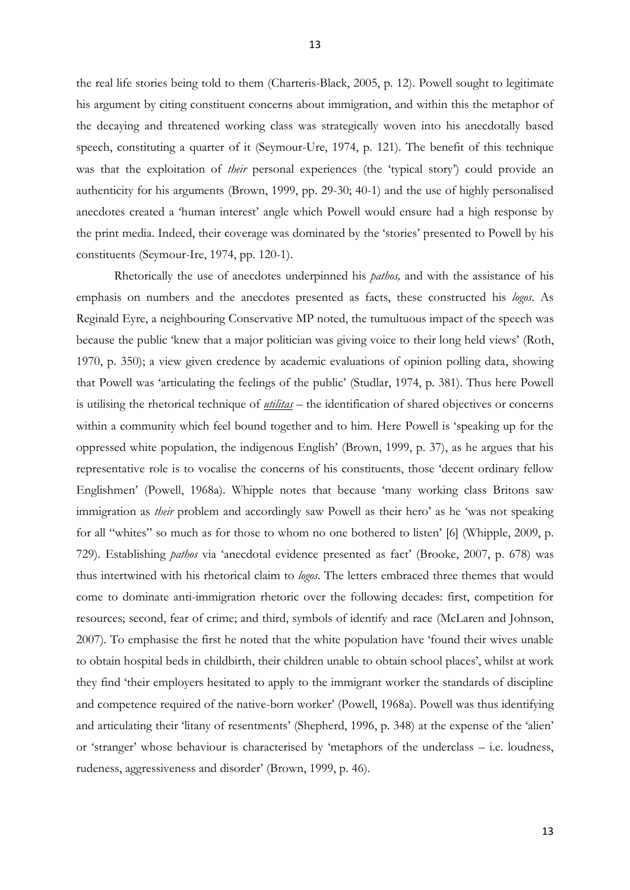the real life stories being told to them (Charteris-Black, 2005, p. 12). Powell sought to legitimate his argument by citing constituent concerns about immigration, and within this the metaphor of the decaying and threatened working class was strategically woven into his anecdotally based speech, constituting a quarter of it (Seymour-Ure, 1974, p. 121). The benefit of this technique was that the exploitation of *their* personal experiences (the 'typical story') could provide an authenticity for his arguments (Brown, 1999, pp. 29-30; 40-1) and the use of highly personalised anecdotes created a 'human interest' angle which Powell would ensure had a high response by the print media. Indeed, their coverage was dominated by the 'stories' presented to Powell by his constituents (Seymour-Ire, 1974, pp. 120-1).

 Rhetorically the use of anecdotes underpinned his *pathos,* and with the assistance of his emphasis on numbers and the anecdotes presented as facts, these constructed his *logos*. As Reginald Eyre, a neighbouring Conservative MP noted, the tumultuous impact of the speech was because the public 'knew that a major politician was giving voice to their long held views' (Roth, 1970, p. 350); a view given credence by academic evaluations of opinion polling data, showing that Powell was 'articulating the feelings of the public' (Studlar, 1974, p. 381). Thus here Powell is utilising the rhetorical technique of *utilitas* – the identification of shared objectives or concerns within a community which feel bound together and to him. Here Powell is 'speaking up for the oppressed white population, the indigenous English' (Brown, 1999, p. 37), as he argues that his representative role is to vocalise the concerns of his constituents, those 'decent ordinary fellow Englishmen' (Powell, 1968a). Whipple notes that because 'many working class Britons saw immigration as *their* problem and accordingly saw Powell as their hero' as he 'was not speaking for all "whites" so much as for those to whom no one bothered to listen' [6] (Whipple, 2009, p. 729). Establishing *pathos* via 'anecdotal evidence presented as fact' (Brooke, 2007, p. 678) was thus intertwined with his rhetorical claim to *logos*. The letters embraced three themes that would come to dominate anti-immigration rhetoric over the following decades: first, competition for resources; second, fear of crime; and third, symbols of identify and race (McLaren and Johnson, 2007). To emphasise the first he noted that the white population have 'found their wives unable to obtain hospital beds in childbirth, their children unable to obtain school places', whilst at work they find 'their employers hesitated to apply to the immigrant worker the standards of discipline and competence required of the native-born worker' (Powell, 1968a). Powell was thus identifying and articulating their 'litany of resentments' (Shepherd, 1996, p. 348) at the expense of the 'alien' or 'stranger' whose behaviour is characterised by 'metaphors of the underclass – i.e. loudness, rudeness, aggressiveness and disorder' (Brown, 1999, p. 46).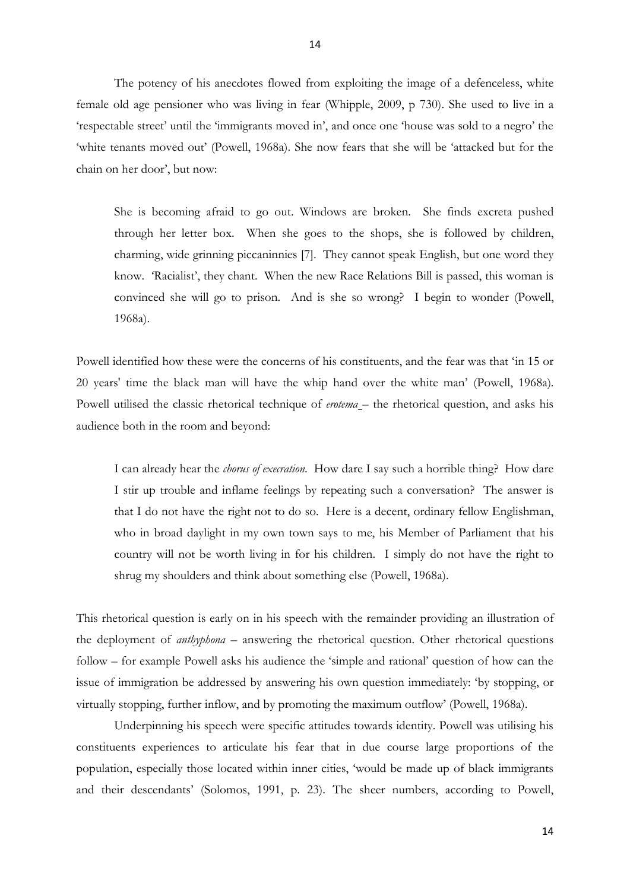The potency of his anecdotes flowed from exploiting the image of a defenceless, white female old age pensioner who was living in fear (Whipple, 2009, p 730). She used to live in a 'respectable street' until the 'immigrants moved in', and once one 'house was sold to a negro' the 'white tenants moved out' (Powell, 1968a). She now fears that she will be 'attacked but for the chain on her door', but now:

She is becoming afraid to go out. Windows are broken. She finds excreta pushed through her letter box. When she goes to the shops, she is followed by children, charming, wide grinning piccaninnies [7]. They cannot speak English, but one word they know. 'Racialist', they chant. When the new Race Relations Bill is passed, this woman is convinced she will go to prison. And is she so wrong? I begin to wonder (Powell, 1968a).

Powell identified how these were the concerns of his constituents, and the fear was that 'in 15 or 20 years' time the black man will have the whip hand over the white man' (Powell, 1968a)*.* Powell utilised the classic rhetorical technique of *erotema* – the rhetorical question, and asks his audience both in the room and beyond:

I can already hear the *chorus of execration*. How dare I say such a horrible thing? How dare I stir up trouble and inflame feelings by repeating such a conversation? The answer is that I do not have the right not to do so. Here is a decent, ordinary fellow Englishman, who in broad daylight in my own town says to me, his Member of Parliament that his country will not be worth living in for his children. I simply do not have the right to shrug my shoulders and think about something else (Powell, 1968a).

This rhetorical question is early on in his speech with the remainder providing an illustration of the deployment of *anthyphona –* answering the rhetorical question. Other rhetorical questions follow – for example Powell asks his audience the 'simple and rational' question of how can the issue of immigration be addressed by answering his own question immediately: 'by stopping, or virtually stopping, further inflow, and by promoting the maximum outflow' (Powell, 1968a).

 Underpinning his speech were specific attitudes towards identity. Powell was utilising his constituents experiences to articulate his fear that in due course large proportions of the population, especially those located within inner cities, 'would be made up of black immigrants and their descendants' (Solomos, 1991, p. 23). The sheer numbers, according to Powell,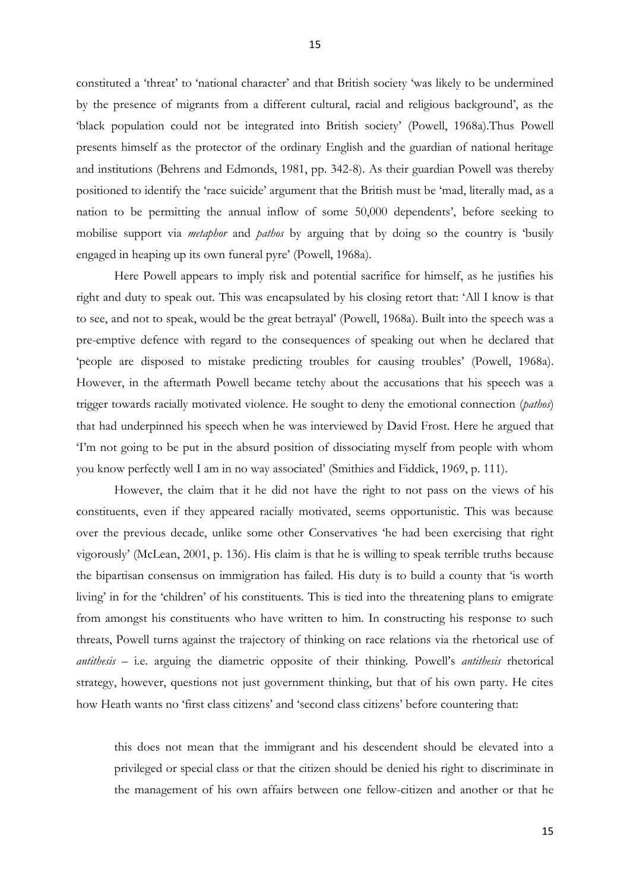constituted a 'threat' to 'national character' and that British society 'was likely to be undermined by the presence of migrants from a different cultural, racial and religious background', as the 'black population could not be integrated into British society' (Powell, 1968a).Thus Powell presents himself as the protector of the ordinary English and the guardian of national heritage and institutions (Behrens and Edmonds, 1981, pp. 342-8). As their guardian Powell was thereby positioned to identify the 'race suicide' argument that the British must be 'mad, literally mad, as a nation to be permitting the annual inflow of some 50,000 dependents', before seeking to mobilise support via *metaphor* and *pathos* by arguing that by doing so the country is 'busily engaged in heaping up its own funeral pyre' (Powell, 1968a).

 Here Powell appears to imply risk and potential sacrifice for himself, as he justifies his right and duty to speak out. This was encapsulated by his closing retort that: 'All I know is that to see, and not to speak, would be the great betrayal' (Powell, 1968a). Built into the speech was a pre-emptive defence with regard to the consequences of speaking out when he declared that 'people are disposed to mistake predicting troubles for causing troubles' (Powell, 1968a). However, in the aftermath Powell became tetchy about the accusations that his speech was a trigger towards racially motivated violence. He sought to deny the emotional connection (*pathos*) that had underpinned his speech when he was interviewed by David Frost. Here he argued that 'I'm not going to be put in the absurd position of dissociating myself from people with whom you know perfectly well I am in no way associated' (Smithies and Fiddick, 1969, p. 111).

However, the claim that it he did not have the right to not pass on the views of his constituents, even if they appeared racially motivated, seems opportunistic. This was because over the previous decade, unlike some other Conservatives 'he had been exercising that right vigorously' (McLean, 2001, p. 136). His claim is that he is willing to speak terrible truths because the bipartisan consensus on immigration has failed. His duty is to build a county that 'is worth living' in for the 'children' of his constituents. This is tied into the threatening plans to emigrate from amongst his constituents who have written to him. In constructing his response to such threats, Powell turns against the trajectory of thinking on race relations via the rhetorical use of *antithesis –* i.e. arguing the diametric opposite of their thinking. Powell's *antithesis* rhetorical strategy, however, questions not just government thinking, but that of his own party. He cites how Heath wants no 'first class citizens' and 'second class citizens' before countering that:

this does not mean that the immigrant and his descendent should be elevated into a privileged or special class or that the citizen should be denied his right to discriminate in the management of his own affairs between one fellow-citizen and another or that he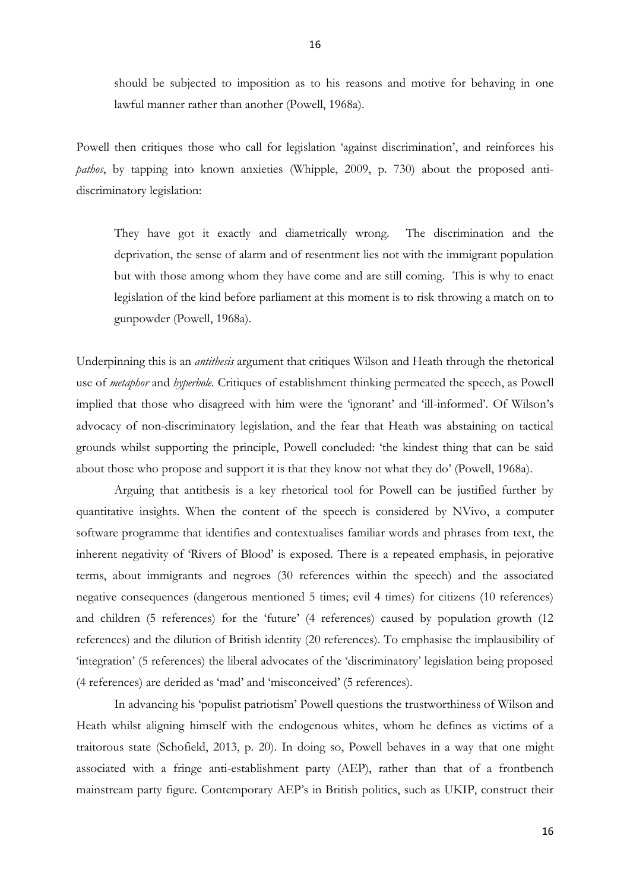16

should be subjected to imposition as to his reasons and motive for behaving in one lawful manner rather than another (Powell, 1968a).

Powell then critiques those who call for legislation 'against discrimination', and reinforces his *pathos*, by tapping into known anxieties (Whipple, 2009, p. 730) about the proposed antidiscriminatory legislation:

They have got it exactly and diametrically wrong. The discrimination and the deprivation, the sense of alarm and of resentment lies not with the immigrant population but with those among whom they have come and are still coming. This is why to enact legislation of the kind before parliament at this moment is to risk throwing a match on to gunpowder (Powell, 1968a).

Underpinning this is an *antithesis* argument that critiques Wilson and Heath through the rhetorical use of *metaphor* and *hyperbole.* Critiques of establishment thinking permeated the speech, as Powell implied that those who disagreed with him were the 'ignorant' and 'ill-informed'. Of Wilson's advocacy of non-discriminatory legislation, and the fear that Heath was abstaining on tactical grounds whilst supporting the principle, Powell concluded: 'the kindest thing that can be said about those who propose and support it is that they know not what they do' (Powell, 1968a).

 Arguing that antithesis is a key rhetorical tool for Powell can be justified further by quantitative insights. When the content of the speech is considered by NVivo, a computer software programme that identifies and contextualises familiar words and phrases from text, the inherent negativity of 'Rivers of Blood' is exposed. There is a repeated emphasis, in pejorative terms, about immigrants and negroes (30 references within the speech) and the associated negative consequences (dangerous mentioned 5 times; evil 4 times) for citizens (10 references) and children (5 references) for the 'future' (4 references) caused by population growth (12 references) and the dilution of British identity (20 references). To emphasise the implausibility of 'integration' (5 references) the liberal advocates of the 'discriminatory' legislation being proposed (4 references) are derided as 'mad' and 'misconceived' (5 references).

In advancing his 'populist patriotism' Powell questions the trustworthiness of Wilson and Heath whilst aligning himself with the endogenous whites, whom he defines as victims of a traitorous state (Schofield, 2013, p. 20). In doing so, Powell behaves in a way that one might associated with a fringe anti-establishment party (AEP), rather than that of a frontbench mainstream party figure. Contemporary AEP's in British politics, such as UKIP, construct their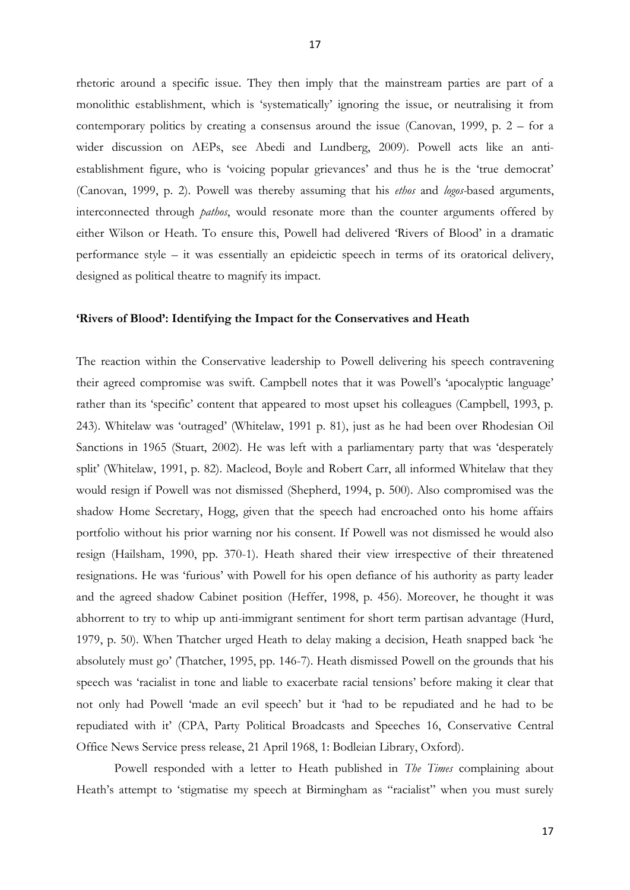rhetoric around a specific issue. They then imply that the mainstream parties are part of a monolithic establishment, which is 'systematically' ignoring the issue, or neutralising it from contemporary politics by creating a consensus around the issue (Canovan, 1999, p. 2 – for a wider discussion on AEPs, see Abedi and Lundberg, 2009). Powell acts like an antiestablishment figure, who is 'voicing popular grievances' and thus he is the 'true democrat' (Canovan, 1999, p. 2). Powell was thereby assuming that his *ethos* and *logos-*based arguments, interconnected through *pathos*, would resonate more than the counter arguments offered by either Wilson or Heath. To ensure this, Powell had delivered 'Rivers of Blood' in a dramatic performance style – it was essentially an epideictic speech in terms of its oratorical delivery, designed as political theatre to magnify its impact.

#### **'Rivers of Blood': Identifying the Impact for the Conservatives and Heath**

The reaction within the Conservative leadership to Powell delivering his speech contravening their agreed compromise was swift. Campbell notes that it was Powell's 'apocalyptic language' rather than its 'specific' content that appeared to most upset his colleagues (Campbell, 1993, p. 243). Whitelaw was 'outraged' (Whitelaw, 1991 p. 81), just as he had been over Rhodesian Oil Sanctions in 1965 (Stuart, 2002). He was left with a parliamentary party that was 'desperately split' (Whitelaw, 1991, p. 82). Macleod, Boyle and Robert Carr, all informed Whitelaw that they would resign if Powell was not dismissed (Shepherd, 1994, p. 500). Also compromised was the shadow Home Secretary, Hogg, given that the speech had encroached onto his home affairs portfolio without his prior warning nor his consent. If Powell was not dismissed he would also resign (Hailsham, 1990, pp. 370-1). Heath shared their view irrespective of their threatened resignations. He was 'furious' with Powell for his open defiance of his authority as party leader and the agreed shadow Cabinet position (Heffer, 1998, p. 456). Moreover, he thought it was abhorrent to try to whip up anti-immigrant sentiment for short term partisan advantage (Hurd, 1979, p. 50). When Thatcher urged Heath to delay making a decision, Heath snapped back 'he absolutely must go' (Thatcher, 1995, pp. 146-7). Heath dismissed Powell on the grounds that his speech was 'racialist in tone and liable to exacerbate racial tensions' before making it clear that not only had Powell 'made an evil speech' but it 'had to be repudiated and he had to be repudiated with it' (CPA, Party Political Broadcasts and Speeches 16, Conservative Central Office News Service press release, 21 April 1968, 1: Bodleian Library, Oxford).

 Powell responded with a letter to Heath published in *The Times* complaining about Heath's attempt to 'stigmatise my speech at Birmingham as "racialist" when you must surely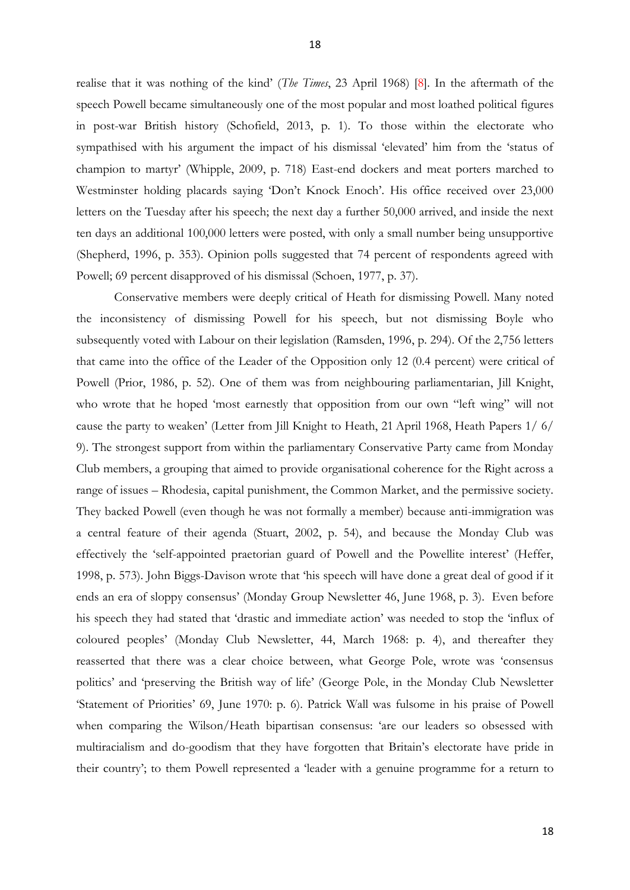realise that it was nothing of the kind' (*The Times*, 23 April 1968) [8]. In the aftermath of the speech Powell became simultaneously one of the most popular and most loathed political figures in post-war British history (Schofield, 2013, p. 1). To those within the electorate who sympathised with his argument the impact of his dismissal 'elevated' him from the 'status of champion to martyr' (Whipple, 2009, p. 718) East-end dockers and meat porters marched to Westminster holding placards saying 'Don't Knock Enoch'. His office received over 23,000 letters on the Tuesday after his speech; the next day a further 50,000 arrived, and inside the next ten days an additional 100,000 letters were posted, with only a small number being unsupportive (Shepherd, 1996, p. 353). Opinion polls suggested that 74 percent of respondents agreed with Powell; 69 percent disapproved of his dismissal (Schoen, 1977, p. 37).

Conservative members were deeply critical of Heath for dismissing Powell. Many noted the inconsistency of dismissing Powell for his speech, but not dismissing Boyle who subsequently voted with Labour on their legislation (Ramsden, 1996, p. 294). Of the 2,756 letters that came into the office of the Leader of the Opposition only 12 (0.4 percent) were critical of Powell (Prior, 1986, p. 52). One of them was from neighbouring parliamentarian, Jill Knight, who wrote that he hoped 'most earnestly that opposition from our own "left wing" will not cause the party to weaken' (Letter from Jill Knight to Heath, 21 April 1968, Heath Papers 1/ 6/ 9). The strongest support from within the parliamentary Conservative Party came from Monday Club members, a grouping that aimed to provide organisational coherence for the Right across a range of issues – Rhodesia, capital punishment, the Common Market, and the permissive society. They backed Powell (even though he was not formally a member) because anti-immigration was a central feature of their agenda (Stuart, 2002, p. 54), and because the Monday Club was effectively the 'self-appointed praetorian guard of Powell and the Powellite interest' (Heffer, 1998, p. 573). John Biggs-Davison wrote that 'his speech will have done a great deal of good if it ends an era of sloppy consensus' (Monday Group Newsletter 46, June 1968, p. 3). Even before his speech they had stated that 'drastic and immediate action' was needed to stop the 'influx of coloured peoples' (Monday Club Newsletter, 44, March 1968: p. 4), and thereafter they reasserted that there was a clear choice between, what George Pole, wrote was 'consensus politics' and 'preserving the British way of life' (George Pole, in the Monday Club Newsletter 'Statement of Priorities' 69, June 1970: p. 6). Patrick Wall was fulsome in his praise of Powell when comparing the Wilson/Heath bipartisan consensus: 'are our leaders so obsessed with multiracialism and do-goodism that they have forgotten that Britain's electorate have pride in their country'; to them Powell represented a 'leader with a genuine programme for a return to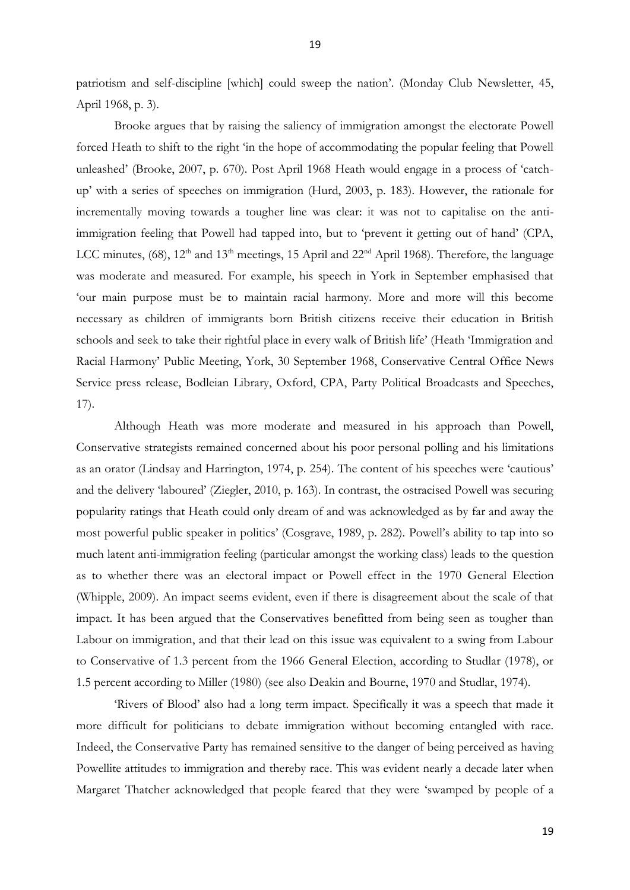patriotism and self-discipline [which] could sweep the nation'. (Monday Club Newsletter, 45, April 1968, p. 3).

Brooke argues that by raising the saliency of immigration amongst the electorate Powell forced Heath to shift to the right 'in the hope of accommodating the popular feeling that Powell unleashed' (Brooke, 2007, p. 670). Post April 1968 Heath would engage in a process of 'catchup' with a series of speeches on immigration (Hurd, 2003, p. 183). However, the rationale for incrementally moving towards a tougher line was clear: it was not to capitalise on the antiimmigration feeling that Powell had tapped into, but to 'prevent it getting out of hand' (CPA, LCC minutes,  $(68)$ ,  $12<sup>th</sup>$  and  $13<sup>th</sup>$  meetings, 15 April and  $22<sup>nd</sup>$  April 1968). Therefore, the language was moderate and measured. For example, his speech in York in September emphasised that 'our main purpose must be to maintain racial harmony. More and more will this become necessary as children of immigrants born British citizens receive their education in British schools and seek to take their rightful place in every walk of British life' (Heath 'Immigration and Racial Harmony' Public Meeting, York, 30 September 1968, Conservative Central Office News Service press release, Bodleian Library, Oxford, CPA, Party Political Broadcasts and Speeches, 17).

 Although Heath was more moderate and measured in his approach than Powell, Conservative strategists remained concerned about his poor personal polling and his limitations as an orator (Lindsay and Harrington, 1974, p. 254). The content of his speeches were 'cautious' and the delivery 'laboured' (Ziegler, 2010, p. 163). In contrast, the ostracised Powell was securing popularity ratings that Heath could only dream of and was acknowledged as by far and away the most powerful public speaker in politics' (Cosgrave, 1989, p. 282). Powell's ability to tap into so much latent anti-immigration feeling (particular amongst the working class) leads to the question as to whether there was an electoral impact or Powell effect in the 1970 General Election (Whipple, 2009). An impact seems evident, even if there is disagreement about the scale of that impact. It has been argued that the Conservatives benefitted from being seen as tougher than Labour on immigration, and that their lead on this issue was equivalent to a swing from Labour to Conservative of 1.3 percent from the 1966 General Election, according to Studlar (1978), or 1.5 percent according to Miller (1980) (see also Deakin and Bourne, 1970 and Studlar, 1974).

'Rivers of Blood' also had a long term impact. Specifically it was a speech that made it more difficult for politicians to debate immigration without becoming entangled with race. Indeed, the Conservative Party has remained sensitive to the danger of being perceived as having Powellite attitudes to immigration and thereby race. This was evident nearly a decade later when Margaret Thatcher acknowledged that people feared that they were 'swamped by people of a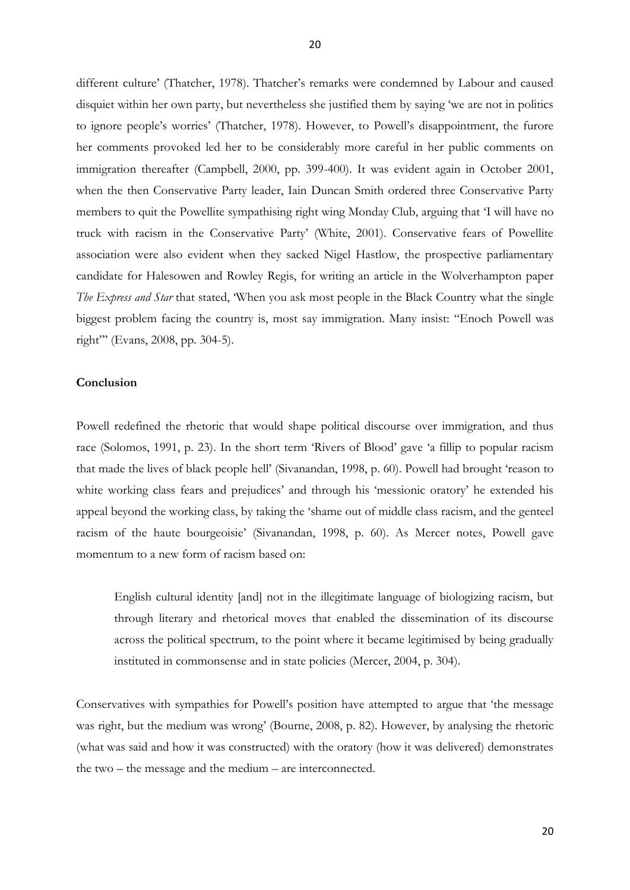different culture' (Thatcher, 1978). Thatcher's remarks were condemned by Labour and caused disquiet within her own party, but nevertheless she justified them by saying 'we are not in politics to ignore people's worries' (Thatcher, 1978). However, to Powell's disappointment, the furore her comments provoked led her to be considerably more careful in her public comments on immigration thereafter (Campbell, 2000, pp. 399-400). It was evident again in October 2001, when the then Conservative Party leader, Iain Duncan Smith ordered three Conservative Party members to quit the Powellite sympathising right wing Monday Club, arguing that 'I will have no truck with racism in the Conservative Party' (White, 2001). Conservative fears of Powellite association were also evident when they sacked Nigel Hastlow, the prospective parliamentary candidate for Halesowen and Rowley Regis, for writing an article in the Wolverhampton paper *The Express and Star* that stated, 'When you ask most people in the Black Country what the single biggest problem facing the country is, most say immigration. Many insist: "Enoch Powell was right"' (Evans, 2008, pp. 304-5).

#### **Conclusion**

Powell redefined the rhetoric that would shape political discourse over immigration, and thus race (Solomos, 1991, p. 23). In the short term 'Rivers of Blood' gave 'a fillip to popular racism that made the lives of black people hell' (Sivanandan, 1998, p. 60). Powell had brought 'reason to white working class fears and prejudices' and through his 'messionic oratory' he extended his appeal beyond the working class, by taking the 'shame out of middle class racism, and the genteel racism of the haute bourgeoisie' (Sivanandan, 1998, p. 60). As Mercer notes, Powell gave momentum to a new form of racism based on:

English cultural identity [and] not in the illegitimate language of biologizing racism, but through literary and rhetorical moves that enabled the dissemination of its discourse across the political spectrum, to the point where it became legitimised by being gradually instituted in commonsense and in state policies (Mercer, 2004, p. 304).

Conservatives with sympathies for Powell's position have attempted to argue that 'the message was right, but the medium was wrong' (Bourne, 2008, p. 82). However, by analysing the rhetoric (what was said and how it was constructed) with the oratory (how it was delivered) demonstrates the two – the message and the medium – are interconnected.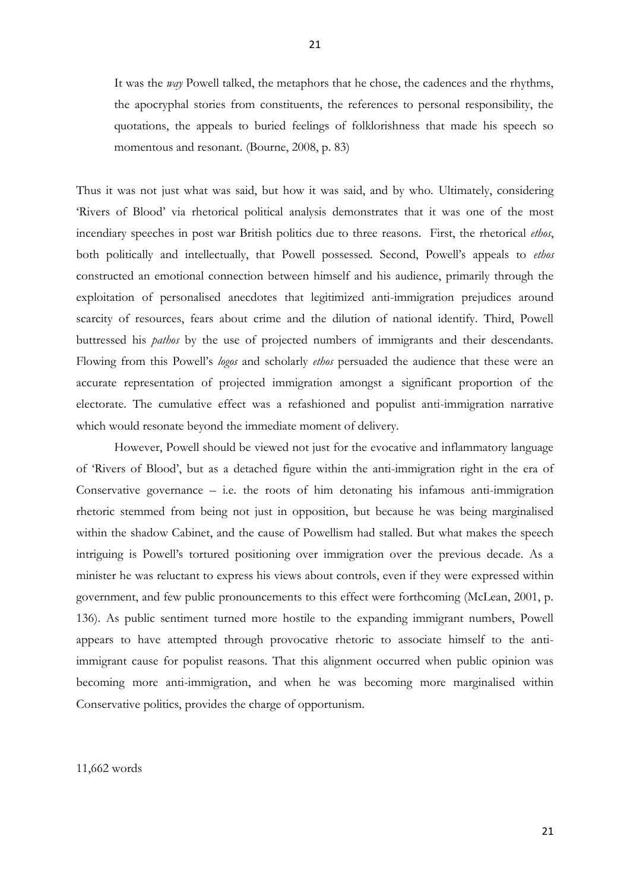It was the *way* Powell talked, the metaphors that he chose, the cadences and the rhythms, the apocryphal stories from constituents, the references to personal responsibility, the quotations, the appeals to buried feelings of folklorishness that made his speech so momentous and resonant. (Bourne, 2008, p. 83)

Thus it was not just what was said, but how it was said, and by who. Ultimately, considering 'Rivers of Blood' via rhetorical political analysis demonstrates that it was one of the most incendiary speeches in post war British politics due to three reasons. First, the rhetorical *ethos*, both politically and intellectually, that Powell possessed. Second, Powell's appeals to *ethos*  constructed an emotional connection between himself and his audience, primarily through the exploitation of personalised anecdotes that legitimized anti-immigration prejudices around scarcity of resources, fears about crime and the dilution of national identify. Third, Powell buttressed his *pathos* by the use of projected numbers of immigrants and their descendants. Flowing from this Powell's *logos* and scholarly *ethos* persuaded the audience that these were an accurate representation of projected immigration amongst a significant proportion of the electorate. The cumulative effect was a refashioned and populist anti-immigration narrative which would resonate beyond the immediate moment of delivery.

However, Powell should be viewed not just for the evocative and inflammatory language of 'Rivers of Blood', but as a detached figure within the anti-immigration right in the era of Conservative governance – i.e. the roots of him detonating his infamous anti-immigration rhetoric stemmed from being not just in opposition, but because he was being marginalised within the shadow Cabinet, and the cause of Powellism had stalled. But what makes the speech intriguing is Powell's tortured positioning over immigration over the previous decade. As a minister he was reluctant to express his views about controls, even if they were expressed within government, and few public pronouncements to this effect were forthcoming (McLean, 2001, p. 136). As public sentiment turned more hostile to the expanding immigrant numbers, Powell appears to have attempted through provocative rhetoric to associate himself to the antiimmigrant cause for populist reasons. That this alignment occurred when public opinion was becoming more anti-immigration, and when he was becoming more marginalised within Conservative politics, provides the charge of opportunism.

#### 11,662 words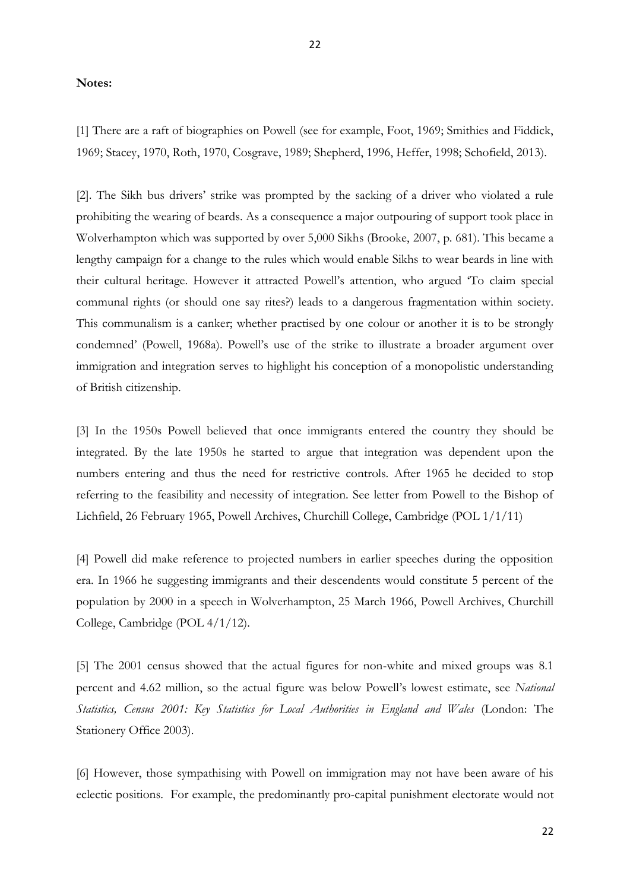#### **Notes:**

[1] There are a raft of biographies on Powell (see for example, Foot, 1969; Smithies and Fiddick, 1969; Stacey, 1970, Roth, 1970, Cosgrave, 1989; Shepherd, 1996, Heffer, 1998; Schofield, 2013).

[2]. The Sikh bus drivers' strike was prompted by the sacking of a driver who violated a rule prohibiting the wearing of beards. As a consequence a major outpouring of support took place in Wolverhampton which was supported by over 5,000 Sikhs (Brooke, 2007, p. 681). This became a lengthy campaign for a change to the rules which would enable Sikhs to wear beards in line with their cultural heritage. However it attracted Powell's attention, who argued 'To claim special communal rights (or should one say rites?) leads to a dangerous fragmentation within society. This communalism is a canker; whether practised by one colour or another it is to be strongly condemned' (Powell, 1968a). Powell's use of the strike to illustrate a broader argument over immigration and integration serves to highlight his conception of a monopolistic understanding of British citizenship.

[3] In the 1950s Powell believed that once immigrants entered the country they should be integrated. By the late 1950s he started to argue that integration was dependent upon the numbers entering and thus the need for restrictive controls. After 1965 he decided to stop referring to the feasibility and necessity of integration. See letter from Powell to the Bishop of Lichfield, 26 February 1965, Powell Archives, Churchill College, Cambridge (POL 1/1/11)

[4] Powell did make reference to projected numbers in earlier speeches during the opposition era. In 1966 he suggesting immigrants and their descendents would constitute 5 percent of the population by 2000 in a speech in Wolverhampton, 25 March 1966, Powell Archives, Churchill College, Cambridge (POL 4/1/12).

[5] The 2001 census showed that the actual figures for non-white and mixed groups was 8.1 percent and 4.62 million, so the actual figure was below Powell's lowest estimate, see *National Statistics, Census 2001: Key Statistics for Local Authorities in England and Wales* (London: The Stationery Office 2003).

[6] However, those sympathising with Powell on immigration may not have been aware of his eclectic positions. For example, the predominantly pro-capital punishment electorate would not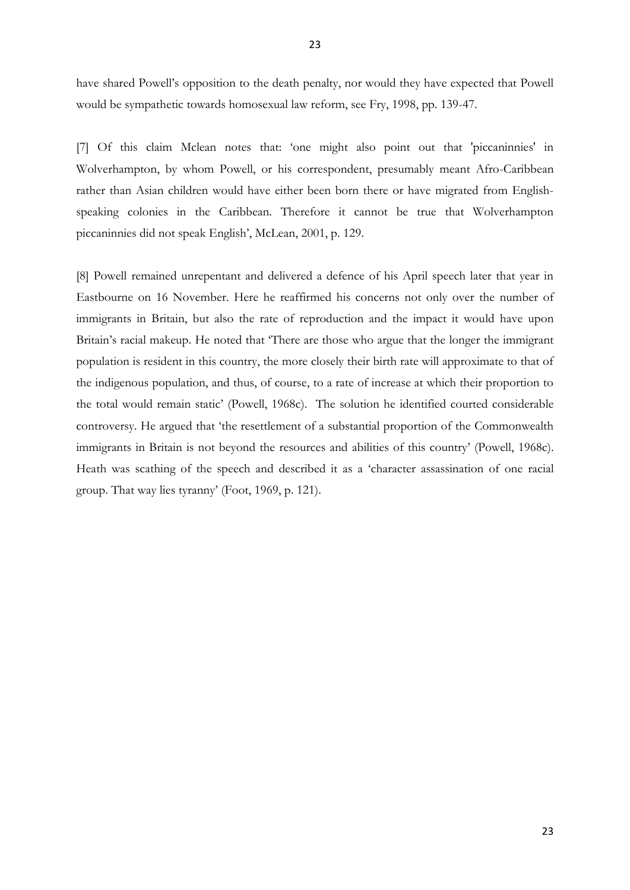have shared Powell's opposition to the death penalty, nor would they have expected that Powell would be sympathetic towards homosexual law reform, see Fry, 1998, pp. 139-47.

[7] Of this claim Mclean notes that: 'one might also point out that 'piccaninnies' in Wolverhampton, by whom Powell, or his correspondent, presumably meant Afro-Caribbean rather than Asian children would have either been born there or have migrated from Englishspeaking colonies in the Caribbean. Therefore it cannot be true that Wolverhampton piccaninnies did not speak English', McLean, 2001, p. 129.

[8] Powell remained unrepentant and delivered a defence of his April speech later that year in Eastbourne on 16 November. Here he reaffirmed his concerns not only over the number of immigrants in Britain, but also the rate of reproduction and the impact it would have upon Britain's racial makeup. He noted that 'There are those who argue that the longer the immigrant population is resident in this country, the more closely their birth rate will approximate to that of the indigenous population, and thus, of course, to a rate of increase at which their proportion to the total would remain static' (Powell, 1968c). The solution he identified courted considerable controversy. He argued that 'the resettlement of a substantial proportion of the Commonwealth immigrants in Britain is not beyond the resources and abilities of this country' (Powell, 1968c). Heath was scathing of the speech and described it as a 'character assassination of one racial group. That way lies tyranny' (Foot, 1969, p. 121).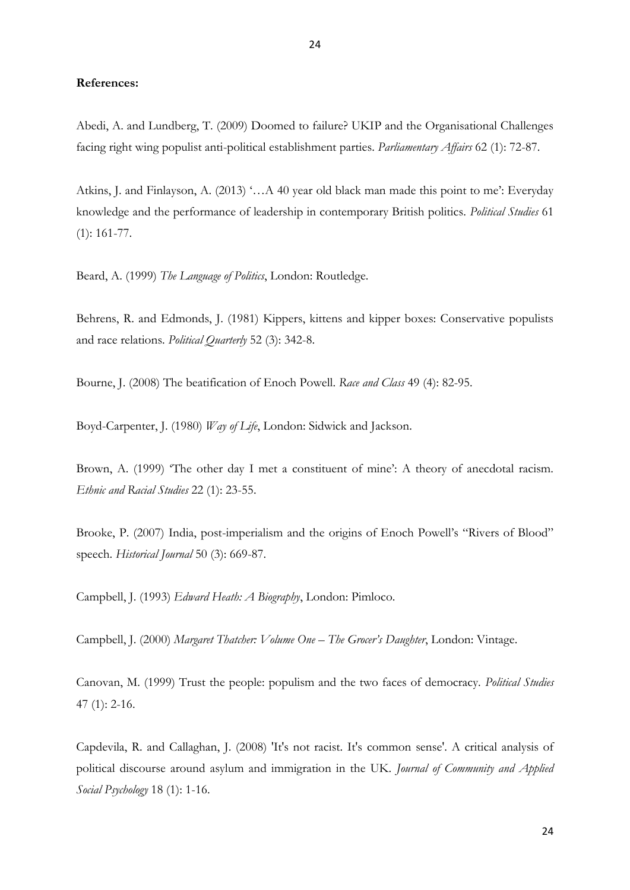#### **References:**

Abedi, A. and Lundberg, T. (2009) Doomed to failure? UKIP and the Organisational Challenges facing right wing populist anti-political establishment parties. *Parliamentary Affairs* 62 (1): 72-87.

Atkins, J. and Finlayson, A. (2013) '…A 40 year old black man made this point to me': Everyday knowledge and the performance of leadership in contemporary British politics. *Political Studies* 61 (1): 161-77.

Beard, A. (1999) *The Language of Politics*, London: Routledge.

Behrens, R. and Edmonds, J. (1981) Kippers, kittens and kipper boxes: Conservative populists and race relations. *Political Quarterly* 52 (3): 342-8.

Bourne, J. (2008) The beatification of Enoch Powell. *Race and Class* 49 (4): 82-95.

Boyd-Carpenter, J. (1980) *Way of Life*, London: Sidwick and Jackson.

Brown, A. (1999) 'The other day I met a constituent of mine': A theory of anecdotal racism. *Ethnic and Racial Studies* 22 (1): 23-55.

Brooke, P. (2007) India, post-imperialism and the origins of Enoch Powell's "Rivers of Blood" speech. *Historical Journal* 50 (3): 669-87.

Campbell, J. (1993) *Edward Heath: A Biography*, London: Pimloco.

Campbell, J. (2000) *Margaret Thatcher: Volume One – The Grocer's Daughter*, London: Vintage.

Canovan, M. (1999) Trust the people: populism and the two faces of democracy. *Political Studies* 47 (1): 2-16.

Capdevila, R. and Callaghan, J. (2008) 'It's not racist. It's common sense'. A critical analysis of political discourse around asylum and immigration in the UK. *Journal of Community and Applied Social Psychology* 18 (1): 1-16.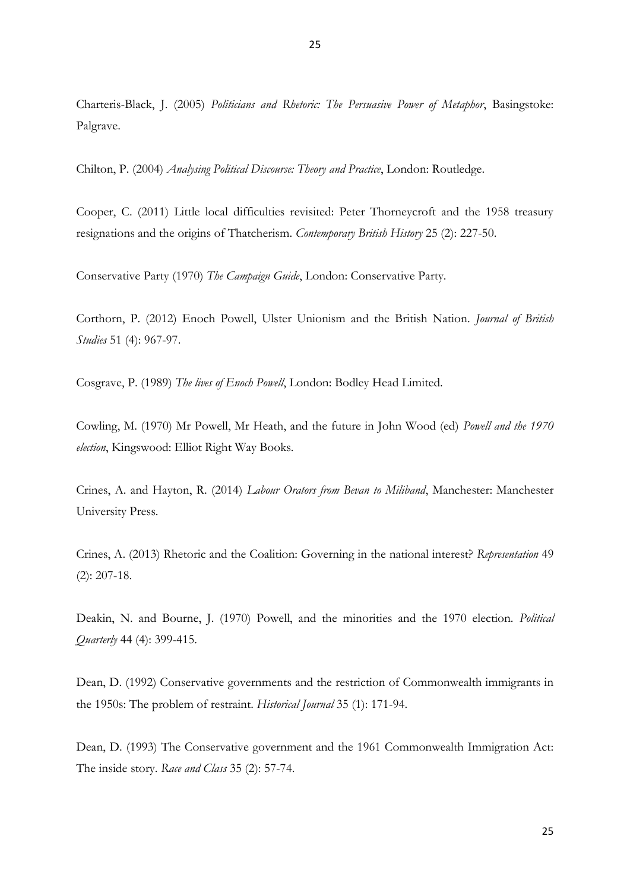Charteris-Black, J. (2005) *Politicians and Rhetoric: The Persuasive Power of Metaphor*, Basingstoke: Palgrave.

Chilton, P. (2004) *Analysing Political Discourse: Theory and Practice*, London: Routledge.

Cooper, C. (2011) Little local difficulties revisited: Peter Thorneycroft and the 1958 treasury resignations and the origins of Thatcherism. *Contemporary British History* 25 (2): 227-50.

Conservative Party (1970) *The Campaign Guide*, London: Conservative Party.

Corthorn, P. (2012) Enoch Powell, Ulster Unionism and the British Nation. *Journal of British Studies* 51 (4): 967-97.

Cosgrave, P. (1989) *The lives of Enoch Powell*, London: Bodley Head Limited.

Cowling, M. (1970) Mr Powell, Mr Heath, and the future in John Wood (ed) *Powell and the 1970 election*, Kingswood: Elliot Right Way Books.

Crines, A. and Hayton, R. (2014) *Labour Orators from Bevan to Miliband*, Manchester: Manchester University Press.

Crines, A. (2013) Rhetoric and the Coalition: Governing in the national interest? *Representation* 49 (2): 207-18.

Deakin, N. and Bourne, J. (1970) Powell, and the minorities and the 1970 election. *Political Quarterly* 44 (4): 399-415.

Dean, D. (1992) Conservative governments and the restriction of Commonwealth immigrants in the 1950s: The problem of restraint. *Historical Journal* 35 (1): 171-94.

Dean, D. (1993) The Conservative government and the 1961 Commonwealth Immigration Act: The inside story. *Race and Class* 35 (2): 57-74.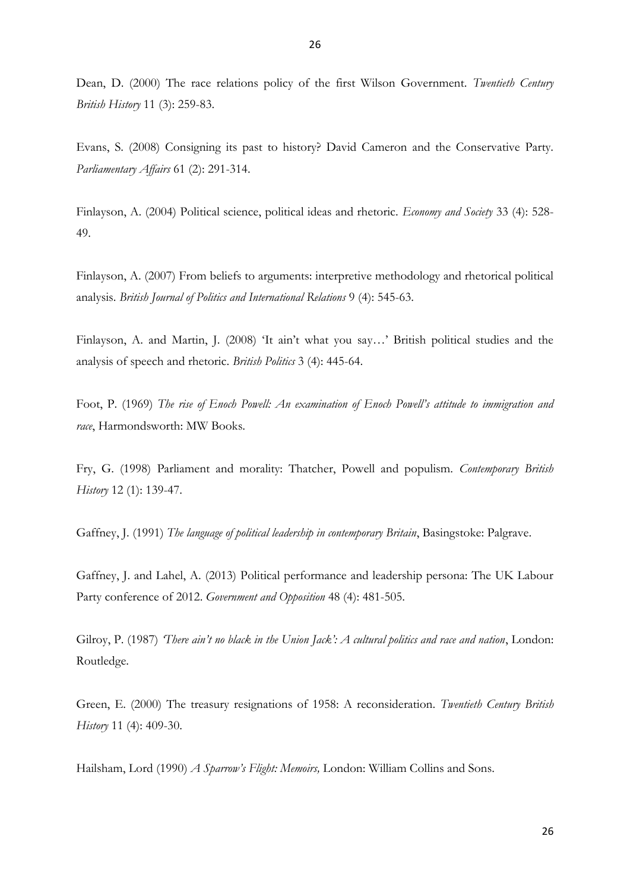Dean, D. (2000) The race relations policy of the first Wilson Government. *Twentieth Century British History* 11 (3): 259-83.

Evans, S. (2008) Consigning its past to history? David Cameron and the Conservative Party. *Parliamentary Affairs* 61 (2): 291-314.

Finlayson, A. (2004) Political science, political ideas and rhetoric. *Economy and Society* 33 (4): 528- 49.

Finlayson, A. (2007) From beliefs to arguments: interpretive methodology and rhetorical political analysis. *British Journal of Politics and International Relations* 9 (4): 545-63.

Finlayson, A. and Martin, J. (2008) 'It ain't what you say…' British political studies and the analysis of speech and rhetoric. *British Politics* 3 (4): 445-64.

Foot, P. (1969) *The rise of Enoch Powell: An examination of Enoch Powell's attitude to immigration and race*, Harmondsworth: MW Books.

Fry, G. (1998) Parliament and morality: Thatcher, Powell and populism. *Contemporary British History* 12 (1): 139-47.

Gaffney, J. (1991) *The language of political leadership in contemporary Britain*, Basingstoke: Palgrave.

Gaffney, J. and Lahel, A. (2013) Political performance and leadership persona: The UK Labour Party conference of 2012. *Government and Opposition* 48 (4): 481-505.

Gilroy, P. (1987) *'There ain't no black in the Union Jack': A cultural politics and race and nation*, London: Routledge.

Green, E. (2000) The treasury resignations of 1958: A reconsideration. *Twentieth Century British History* 11 (4): 409-30.

Hailsham, Lord (1990) *A Sparrow's Flight: Memoirs,* London: William Collins and Sons.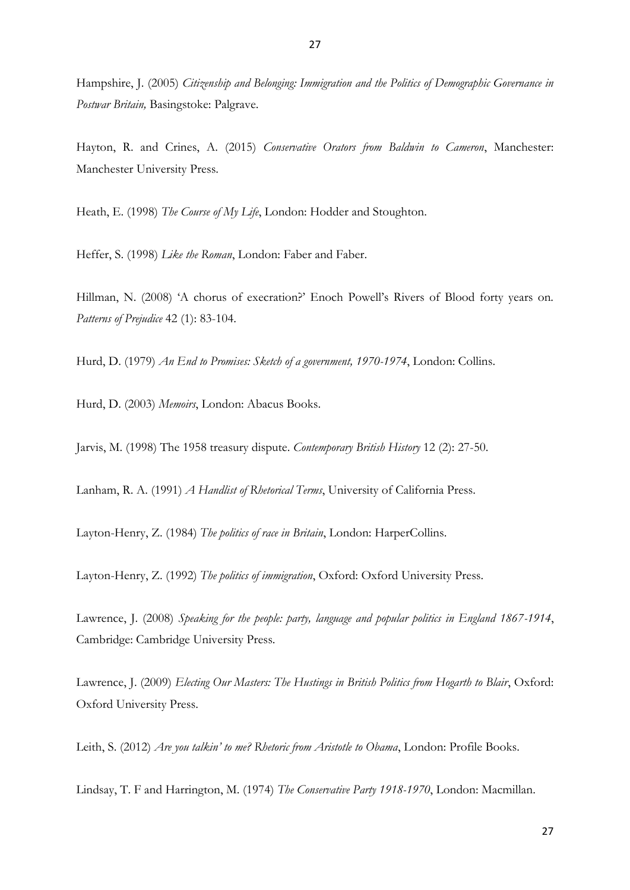Hampshire, J. (2005) *Citizenship and Belonging: Immigration and the Politics of Demographic Governance in Postwar Britain,* Basingstoke: Palgrave.

Hayton, R. and Crines, A. (2015) *Conservative Orators from Baldwin to Cameron*, Manchester: Manchester University Press.

Heath, E. (1998) *The Course of My Life*, London: Hodder and Stoughton.

Heffer, S. (1998) *Like the Roman*, London: Faber and Faber.

Hillman, N. (2008) 'A chorus of execration?' Enoch Powell's Rivers of Blood forty years on. *Patterns of Prejudice* 42 (1): 83-104.

Hurd, D. (1979) *An End to Promises: Sketch of a government, 1970-1974*, London: Collins.

Hurd, D. (2003) *Memoirs*, London: Abacus Books.

Jarvis, M. (1998) The 1958 treasury dispute. *Contemporary British History* 12 (2): 27-50.

Lanham, R. A. (1991) *A Handlist of Rhetorical Terms*, University of California Press.

Layton-Henry, Z. (1984) *The politics of race in Britain*, London: HarperCollins.

Layton-Henry, Z. (1992) *The politics of immigration*, Oxford: Oxford University Press.

Lawrence, J. (2008) *Speaking for the people: party, language and popular politics in England 1867-1914*, Cambridge: Cambridge University Press.

Lawrence, J. (2009) *Electing Our Masters: The Hustings in British Politics from Hogarth to Blair*, Oxford: Oxford University Press.

Leith, S. (2012) *Are you talkin' to me? Rhetoric from Aristotle to Obama*, London: Profile Books.

Lindsay, T. F and Harrington, M. (1974) *The Conservative Party 1918-1970*, London: Macmillan.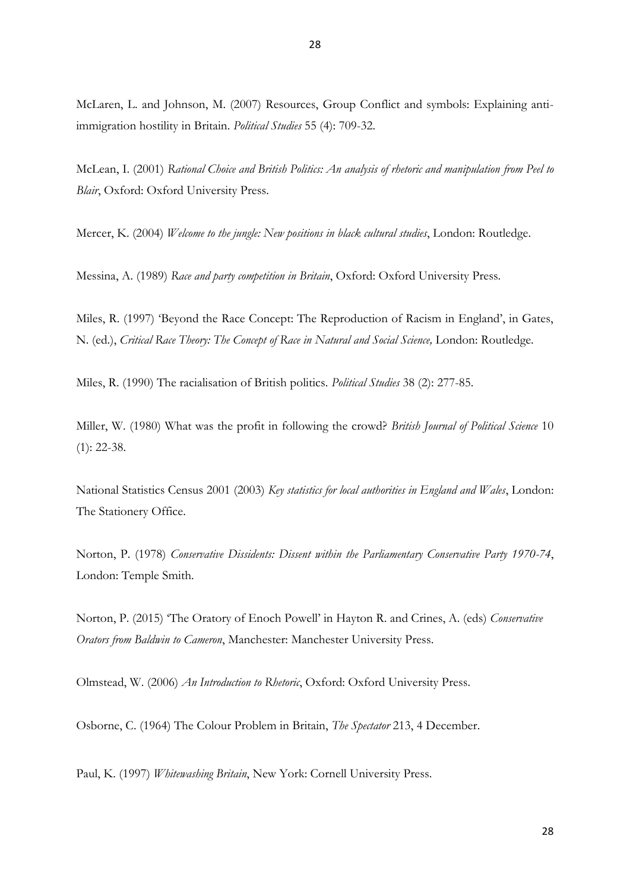McLaren, L. and Johnson, M. (2007) Resources, Group Conflict and symbols: Explaining antiimmigration hostility in Britain. *Political Studies* 55 (4): 709-32.

McLean, I. (2001) *Rational Choice and British Politics: An analysis of rhetoric and manipulation from Peel to Blair*, Oxford: Oxford University Press.

Mercer, K. (2004) *Welcome to the jungle: New positions in black cultural studies*, London: Routledge.

Messina, A. (1989) *Race and party competition in Britain*, Oxford: Oxford University Press.

Miles, R. (1997) 'Beyond the Race Concept: The Reproduction of Racism in England', in Gates, N. (ed.), *Critical Race Theory: The Concept of Race in Natural and Social Science, London: Routledge.* 

Miles, R. (1990) The racialisation of British politics. *Political Studies* 38 (2): 277-85.

Miller, W. (1980) What was the profit in following the crowd? *British Journal of Political Science* 10  $(1)$ : 22-38.

National Statistics Census 2001 (2003) *Key statistics for local authorities in England and Wales*, London: The Stationery Office.

Norton, P. (1978) *Conservative Dissidents: Dissent within the Parliamentary Conservative Party 1970-74*, London: Temple Smith.

Norton, P. (2015) 'The Oratory of Enoch Powell' in Hayton R. and Crines, A. (eds) *Conservative Orators from Baldwin to Cameron*, Manchester: Manchester University Press.

Olmstead, W. (2006) *An Introduction to Rhetoric*, Oxford: Oxford University Press.

Osborne, C. (1964) The Colour Problem in Britain, *The Spectator* 213, 4 December.

Paul, K. (1997) *Whitewashing Britain*, New York: Cornell University Press.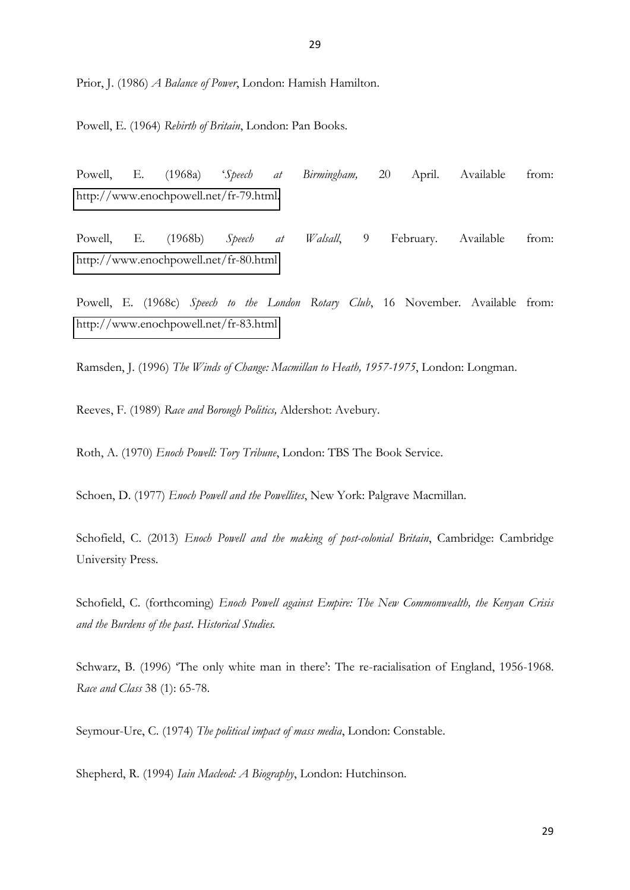Prior, J. (1986) *A Balance of Power*, London: Hamish Hamilton.

Powell, E. (1964) *Rebirth of Britain*, London: Pan Books.

Powell, E. (1968a) '*Speech at Birmingham,* 20 April. Available from: [http://www.enochpowell.net/fr-79.html.](http://www.enochpowell.net/fr-79.html)

Powell, E. (1968b) *Speech at Walsall*, 9 February. Available from: <http://www.enochpowell.net/fr-80.html>

Powell, E. (1968c) *Speech to the London Rotary Club*, 16 November. Available from: <http://www.enochpowell.net/fr-83.html>

Ramsden, J. (1996) *The Winds of Change: Macmillan to Heath, 1957-1975*, London: Longman.

Reeves, F. (1989) *Race and Borough Politics,* Aldershot: Avebury.

Roth, A. (1970) *Enoch Powell: Tory Tribune*, London: TBS The Book Service.

Schoen, D. (1977) *Enoch Powell and the Powellites*, New York: Palgrave Macmillan.

Schofield, C. (2013) *Enoch Powell and the making of post-colonial Britain*, Cambridge: Cambridge University Press.

Schofield, C. (forthcoming) *Enoch Powell against Empire: The New Commonwealth, the Kenyan Crisis and the Burdens of the past*. *Historical Studies.* 

Schwarz, B. (1996) 'The only white man in there': The re-racialisation of England, 1956-1968. *Race and Class* 38 (1): 65-78.

Seymour-Ure, C. (1974) *The political impact of mass media*, London: Constable.

Shepherd, R. (1994) *Iain Macleod: A Biography*, London: Hutchinson.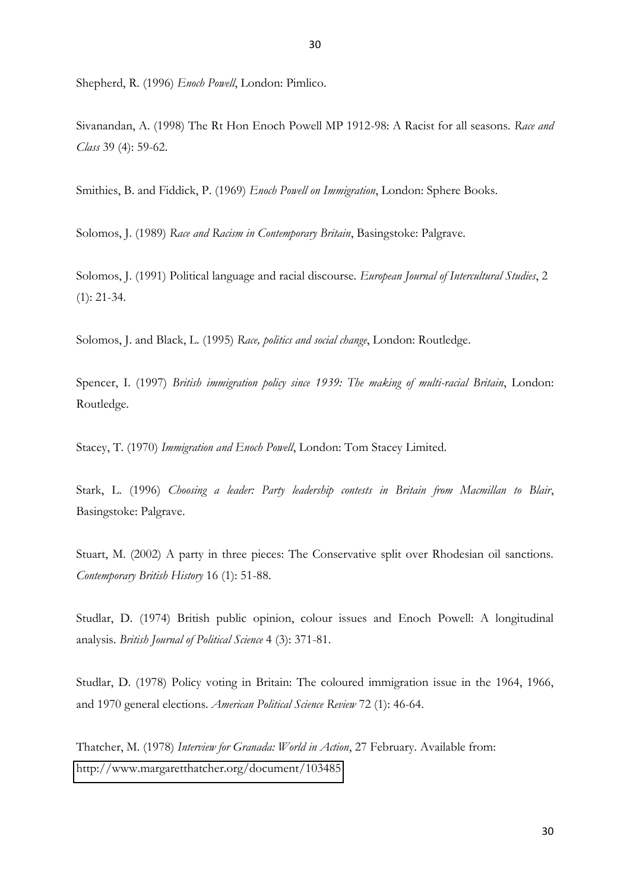Shepherd, R. (1996) *Enoch Powell*, London: Pimlico.

Sivanandan, A. (1998) The Rt Hon Enoch Powell MP 1912-98: A Racist for all seasons. *Race and Class* 39 (4): 59-62.

Smithies, B. and Fiddick, P. (1969) *Enoch Powell on Immigration*, London: Sphere Books.

Solomos, J. (1989) *Race and Racism in Contemporary Britain*, Basingstoke: Palgrave.

Solomos, J. (1991) Political language and racial discourse. *European Journal of Intercultural Studies*, 2 (1): 21-34.

Solomos, J. and Black, L. (1995) *Race, politics and social change*, London: Routledge.

Spencer, I. (1997) *British immigration policy since 1939: The making of multi-racial Britain*, London: Routledge.

Stacey, T. (1970) *Immigration and Enoch Powell*, London: Tom Stacey Limited.

Stark, L. (1996) *Choosing a leader: Party leadership contests in Britain from Macmillan to Blair*, Basingstoke: Palgrave.

Stuart, M. (2002) A party in three pieces: The Conservative split over Rhodesian oil sanctions. *Contemporary British History* 16 (1): 51-88.

Studlar, D. (1974) British public opinion, colour issues and Enoch Powell: A longitudinal analysis. *British Journal of Political Science* 4 (3): 371-81.

Studlar, D. (1978) Policy voting in Britain: The coloured immigration issue in the 1964, 1966, and 1970 general elections. *American Political Science Review* 72 (1): 46-64.

Thatcher, M. (1978) *Interview for Granada: World in Action*, 27 February. Available from: <http://www.margaretthatcher.org/document/103485>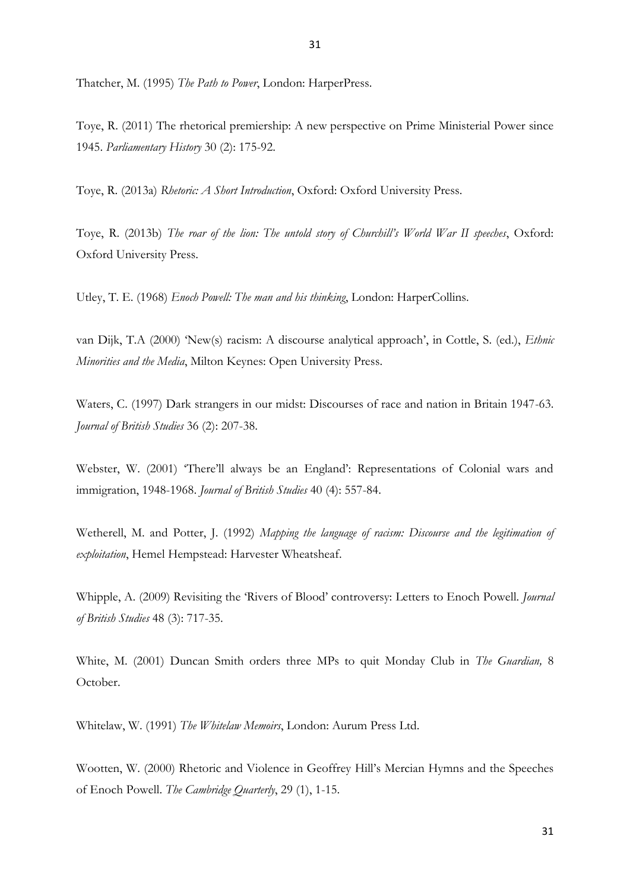Thatcher, M. (1995) *The Path to Power*, London: HarperPress.

Toye, R. (2011) The rhetorical premiership: A new perspective on Prime Ministerial Power since 1945. *Parliamentary History* 30 (2): 175-92.

Toye, R. (2013a) *Rhetoric: A Short Introduction*, Oxford: Oxford University Press.

Toye, R. (2013b) *The roar of the lion: The untold story of Churchill's World War II speeches*, Oxford: Oxford University Press.

Utley, T. E. (1968) *Enoch Powell: The man and his thinking*, London: HarperCollins.

van Dijk, T.A (2000) 'New(s) racism: A discourse analytical approach', in Cottle, S. (ed.), *Ethnic Minorities and the Media*, Milton Keynes: Open University Press.

Waters, C. (1997) Dark strangers in our midst: Discourses of race and nation in Britain 1947-63. *Journal of British Studies* 36 (2): 207-38.

Webster, W. (2001) 'There'll always be an England': Representations of Colonial wars and immigration, 1948-1968. *Journal of British Studies* 40 (4): 557-84.

Wetherell, M. and Potter, J. (1992) *Mapping the language of racism: Discourse and the legitimation of exploitation*, Hemel Hempstead: Harvester Wheatsheaf.

Whipple, A. (2009) Revisiting the 'Rivers of Blood' controversy: Letters to Enoch Powell. *Journal of British Studies* 48 (3): 717-35.

White, M. (2001) Duncan Smith orders three MPs to quit Monday Club in *The Guardian,* 8 October.

Whitelaw, W. (1991) *The Whitelaw Memoirs*, London: Aurum Press Ltd.

Wootten, W. (2000) Rhetoric and Violence in Geoffrey Hill's Mercian Hymns and the Speeches of Enoch Powell. *The Cambridge Quarterly*, 29 (1), 1-15.